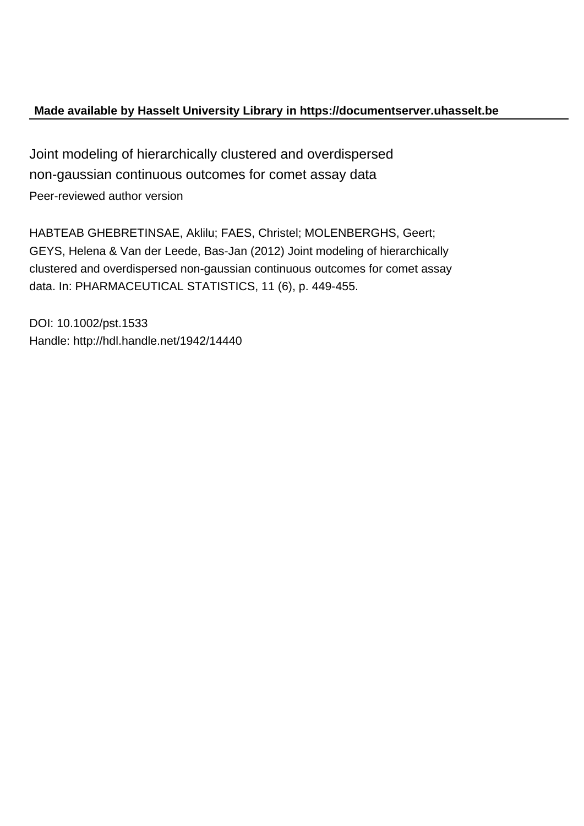# **Made available by Hasselt University Library in https://documentserver.uhasselt.be**

Joint modeling of hierarchically clustered and overdispersed non-gaussian continuous outcomes for comet assay data Peer-reviewed author version

HABTEAB GHEBRETINSAE, Aklilu; FAES, Christel; MOLENBERGHS, Geert; GEYS, Helena & Van der Leede, Bas-Jan (2012) Joint modeling of hierarchically clustered and overdispersed non-gaussian continuous outcomes for comet assay data. In: PHARMACEUTICAL STATISTICS, 11 (6), p. 449-455.

DOI: 10.1002/pst.1533 Handle: http://hdl.handle.net/1942/14440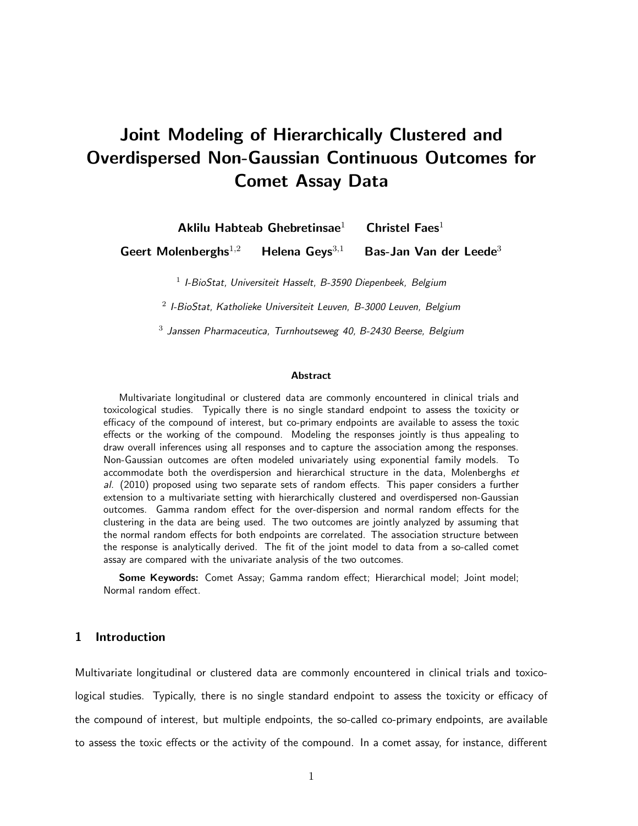# Joint Modeling of Hierarchically Clustered and Overdispersed Non-Gaussian Continuous Outcomes for Comet Assay Data

Aklilu Habteab Ghebretinsae<sup>1</sup> Christel Faes<sup>1</sup>

Geert Molenberghs<sup>1,2</sup> Helena Geys<sup>3,1</sup> Bas-Jan Van der Leede<sup>3</sup>

<sup>1</sup> I-BioStat, Universiteit Hasselt, B-3590 Diepenbeek, Belgium

 $2$  I-BioStat, Katholieke Universiteit Leuven, B-3000 Leuven, Belgium

 $^3$  Janssen Pharmaceutica, Turnhoutseweg 40, B-2430 Beerse, Belgium

#### Abstract

Multivariate longitudinal or clustered data are commonly encountered in clinical trials and toxicological studies. Typically there is no single standard endpoint to assess the toxicity or efficacy of the compound of interest, but co-primary endpoints are available to assess the toxic effects or the working of the compound. Modeling the responses jointly is thus appealing to draw overall inferences using all responses and to capture the association among the responses. Non-Gaussian outcomes are often modeled univariately using exponential family models. To accommodate both the overdispersion and hierarchical structure in the data. Molenberghs et al. (2010) proposed using two separate sets of random effects. This paper considers a further extension to a multivariate setting with hierarchically clustered and overdispersed non-Gaussian outcomes. Gamma random effect for the over-dispersion and normal random effects for the clustering in the data are being used. The two outcomes are jointly analyzed by assuming that the normal random effects for both endpoints are correlated. The association structure between the response is analytically derived. The fit of the joint model to data from a so-called comet assay are compared with the univariate analysis of the two outcomes.

Some Keywords: Comet Assay; Gamma random effect; Hierarchical model; Joint model; Normal random effect.

# 1 Introduction

Multivariate longitudinal or clustered data are commonly encountered in clinical trials and toxicological studies. Typically, there is no single standard endpoint to assess the toxicity or efficacy of the compound of interest, but multiple endpoints, the so-called co-primary endpoints, are available to assess the toxic effects or the activity of the compound. In a comet assay, for instance, different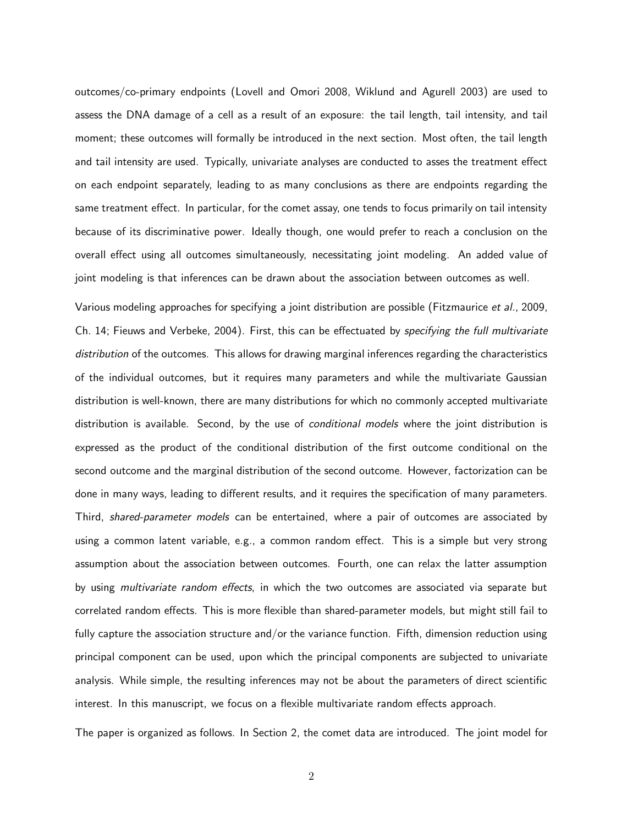outcomes/co-primary endpoints (Lovell and Omori 2008, Wiklund and Agurell 2003) are used to assess the DNA damage of a cell as a result of an exposure: the tail length, tail intensity, and tail moment; these outcomes will formally be introduced in the next section. Most often, the tail length and tail intensity are used. Typically, univariate analyses are conducted to asses the treatment effect on each endpoint separately, leading to as many conclusions as there are endpoints regarding the same treatment effect. In particular, for the comet assay, one tends to focus primarily on tail intensity because of its discriminative power. Ideally though, one would prefer to reach a conclusion on the overall effect using all outcomes simultaneously, necessitating joint modeling. An added value of joint modeling is that inferences can be drawn about the association between outcomes as well.

Various modeling approaches for specifying a joint distribution are possible (Fitzmaurice et al., 2009, Ch. 14; Fieuws and Verbeke, 2004). First, this can be effectuated by specifying the full multivariate distribution of the outcomes. This allows for drawing marginal inferences regarding the characteristics of the individual outcomes, but it requires many parameters and while the multivariate Gaussian distribution is well-known, there are many distributions for which no commonly accepted multivariate distribution is available. Second, by the use of *conditional models* where the joint distribution is expressed as the product of the conditional distribution of the first outcome conditional on the second outcome and the marginal distribution of the second outcome. However, factorization can be done in many ways, leading to different results, and it requires the specification of many parameters. Third, *shared-parameter models* can be entertained, where a pair of outcomes are associated by using a common latent variable, e.g., a common random effect. This is a simple but very strong assumption about the association between outcomes. Fourth, one can relax the latter assumption by using multivariate random effects, in which the two outcomes are associated via separate but correlated random effects. This is more flexible than shared-parameter models, but might still fail to fully capture the association structure and/or the variance function. Fifth, dimension reduction using principal component can be used, upon which the principal components are subjected to univariate analysis. While simple, the resulting inferences may not be about the parameters of direct scientific interest. In this manuscript, we focus on a flexible multivariate random effects approach.

The paper is organized as follows. In Section 2, the comet data are introduced. The joint model for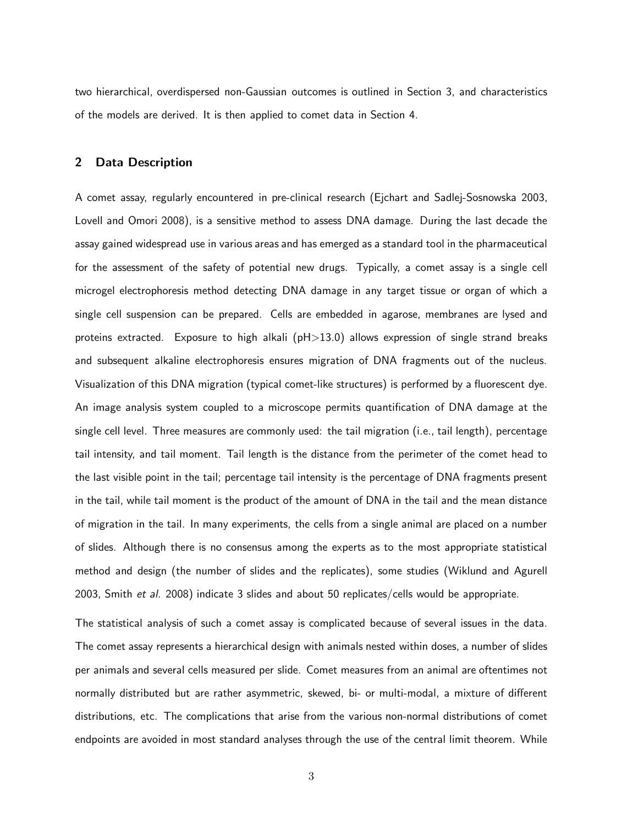two hierarchical, overdispersed non-Gaussian outcomes is outlined in Section 3, and characteristics of the models are derived. It is then applied to comet data in Section 4.

#### 2 Data Description

A comet assay, regularly encountered in pre-clinical research (Ejchart and Sadlej-Sosnowska 2003, Lovell and Omori 2008), is a sensitive method to assess DNA damage. During the last decade the assay gained widespread use in various areas and has emerged as a standard tool in the pharmaceutical for the assessment of the safety of potential new drugs. Typically, a comet assay is a single cell microgel electrophoresis method detecting DNA damage in any target tissue or organ of which a single cell suspension can be prepared. Cells are embedded in agarose, membranes are lysed and proteins extracted. Exposure to high alkali (pH>13.0) allows expression of single strand breaks and subsequent alkaline electrophoresis ensures migration of DNA fragments out of the nucleus. Visualization of this DNA migration (typical comet-like structures) is performed by a fluorescent dye. An image analysis system coupled to a microscope permits quantification of DNA damage at the single cell level. Three measures are commonly used: the tail migration (i.e., tail length), percentage tail intensity, and tail moment. Tail length is the distance from the perimeter of the comet head to the last visible point in the tail; percentage tail intensity is the percentage of DNA fragments present in the tail, while tail moment is the product of the amount of DNA in the tail and the mean distance of migration in the tail. In many experiments, the cells from a single animal are placed on a number of slides. Although there is no consensus among the experts as to the most appropriate statistical method and design (the number of slides and the replicates), some studies (Wiklund and Agurell 2003, Smith et al. 2008) indicate 3 slides and about 50 replicates/cells would be appropriate.

The statistical analysis of such a comet assay is complicated because of several issues in the data. The comet assay represents a hierarchical design with animals nested within doses, a number of slides per animals and several cells measured per slide. Comet measures from an animal are oftentimes not normally distributed but are rather asymmetric, skewed, bi- or multi-modal, a mixture of different distributions, etc. The complications that arise from the various non-normal distributions of comet endpoints are avoided in most standard analyses through the use of the central limit theorem. While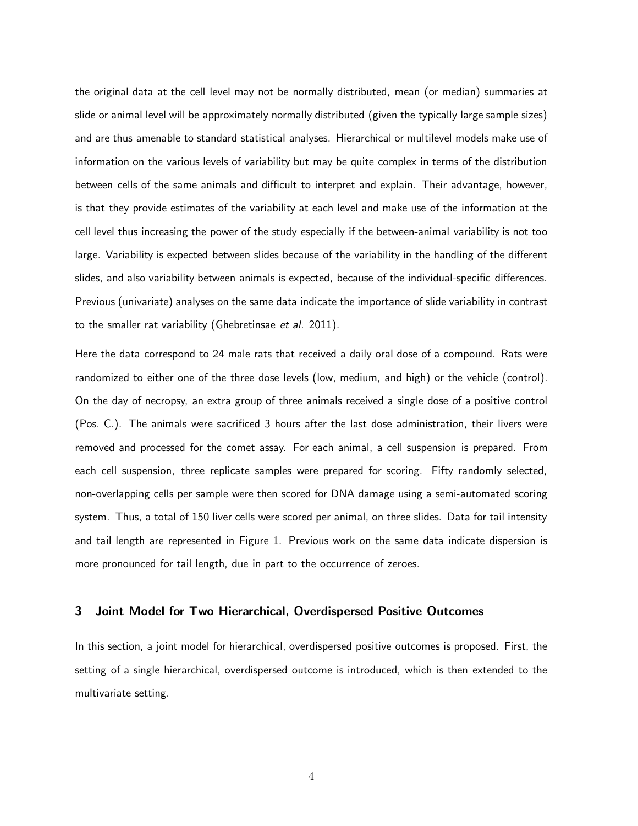the original data at the cell level may not be normally distributed, mean (or median) summaries at slide or animal level will be approximately normally distributed (given the typically large sample sizes) and are thus amenable to standard statistical analyses. Hierarchical or multilevel models make use of information on the various levels of variability but may be quite complex in terms of the distribution between cells of the same animals and difficult to interpret and explain. Their advantage, however, is that they provide estimates of the variability at each level and make use of the information at the cell level thus increasing the power of the study especially if the between-animal variability is not too large. Variability is expected between slides because of the variability in the handling of the different slides, and also variability between animals is expected, because of the individual-specific differences. Previous (univariate) analyses on the same data indicate the importance of slide variability in contrast to the smaller rat variability (Ghebretinsae et al. 2011).

Here the data correspond to 24 male rats that received a daily oral dose of a compound. Rats were randomized to either one of the three dose levels (low, medium, and high) or the vehicle (control). On the day of necropsy, an extra group of three animals received a single dose of a positive control (Pos. C.). The animals were sacrificed 3 hours after the last dose administration, their livers were removed and processed for the comet assay. For each animal, a cell suspension is prepared. From each cell suspension, three replicate samples were prepared for scoring. Fifty randomly selected, non-overlapping cells per sample were then scored for DNA damage using a semi-automated scoring system. Thus, a total of 150 liver cells were scored per animal, on three slides. Data for tail intensity and tail length are represented in Figure 1. Previous work on the same data indicate dispersion is more pronounced for tail length, due in part to the occurrence of zeroes.

#### 3 Joint Model for Two Hierarchical, Overdispersed Positive Outcomes

In this section, a joint model for hierarchical, overdispersed positive outcomes is proposed. First, the setting of a single hierarchical, overdispersed outcome is introduced, which is then extended to the multivariate setting.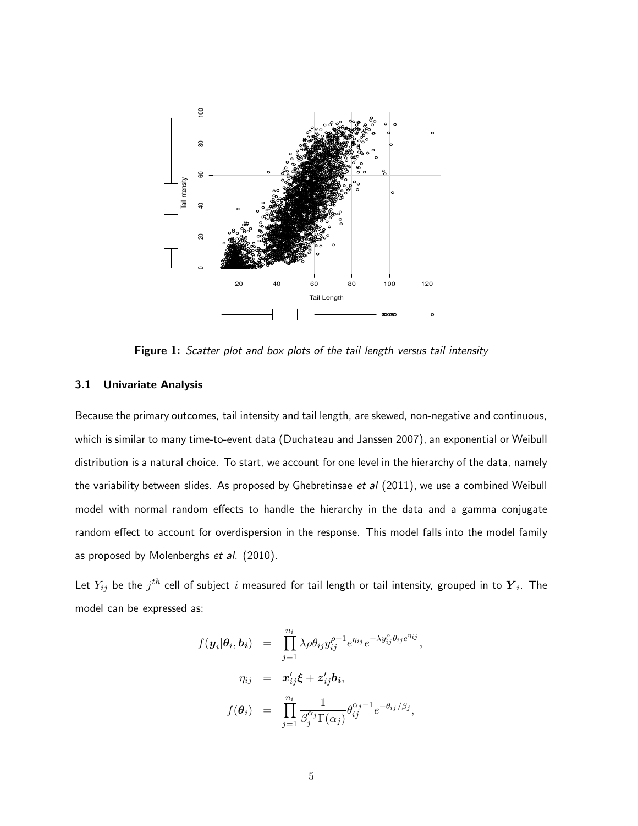

Figure 1: Scatter plot and box plots of the tail length versus tail intensity

## 3.1 Univariate Analysis

Because the primary outcomes, tail intensity and tail length, are skewed, non-negative and continuous, which is similar to many time-to-event data (Duchateau and Janssen 2007), an exponential or Weibull distribution is a natural choice. To start, we account for one level in the hierarchy of the data, namely the variability between slides. As proposed by Ghebretinsae et  $al$  (2011), we use a combined Weibull model with normal random effects to handle the hierarchy in the data and a gamma conjugate random effect to account for overdispersion in the response. This model falls into the model family as proposed by Molenberghs et al. (2010).

Let  $Y_{ij}$  be the  $j^{th}$  cell of subject  $i$  measured for tail length or tail intensity, grouped in to  $\boldsymbol{Y}_i$ . The model can be expressed as:

$$
f(\mathbf{y}_i|\boldsymbol{\theta}_i, \mathbf{b}_i) = \prod_{j=1}^{n_i} \lambda \rho \theta_{ij} y_{ij}^{\rho-1} e^{\eta_{ij}} e^{-\lambda y_{ij}^{\rho} \theta_{ij} e^{\eta_{ij}}},
$$
  

$$
\eta_{ij} = \mathbf{x}_{ij}^{\prime} \boldsymbol{\xi} + \mathbf{z}_{ij}^{\prime} \mathbf{b}_i,
$$
  

$$
f(\boldsymbol{\theta}_i) = \prod_{j=1}^{n_i} \frac{1}{\beta_j^{\alpha_j} \Gamma(\alpha_j)} \theta_{ij}^{\alpha_j-1} e^{-\theta_{ij}/\beta_j},
$$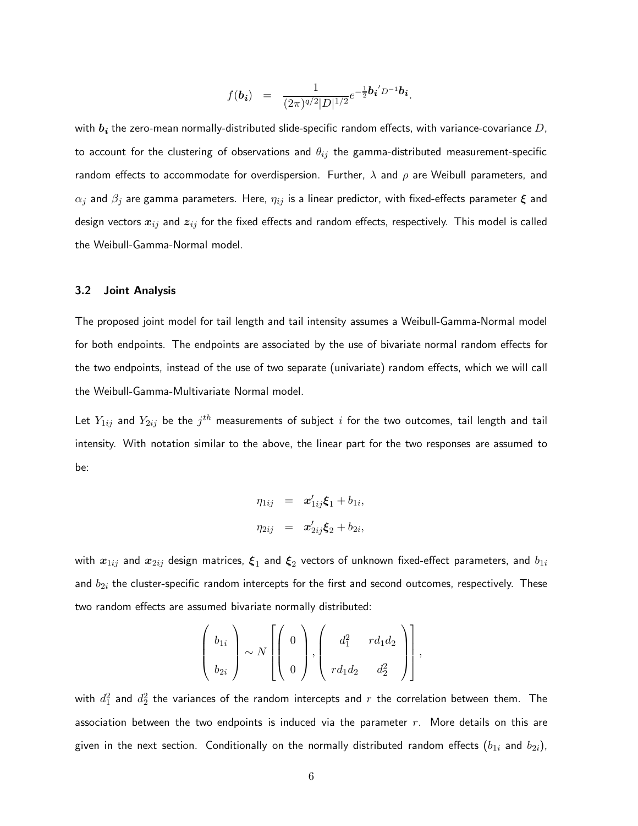$$
f(\mathbf{b_i}) = \frac{1}{(2\pi)^{q/2}|D|^{1/2}}e^{-\frac{1}{2}\mathbf{b_i}^{\prime}D^{-1}\mathbf{b_i}}.
$$

with  $b_i$  the zero-mean normally-distributed slide-specific random effects, with variance-covariance D, to account for the clustering of observations and  $\theta_{ij}$  the gamma-distributed measurement-specific random effects to accommodate for overdispersion. Further,  $\lambda$  and  $\rho$  are Weibull parameters, and  $\alpha_j$  and  $\beta_j$  are gamma parameters. Here,  $\eta_{ij}$  is a linear predictor, with fixed-effects parameter  $\boldsymbol{\xi}$  and design vectors  $x_{ij}$  and  $z_{ij}$  for the fixed effects and random effects, respectively. This model is called the Weibull-Gamma-Normal model.

#### 3.2 Joint Analysis

The proposed joint model for tail length and tail intensity assumes a Weibull-Gamma-Normal model for both endpoints. The endpoints are associated by the use of bivariate normal random effects for the two endpoints, instead of the use of two separate (univariate) random effects, which we will call the Weibull-Gamma-Multivariate Normal model.

Let  $Y_{1ij}$  and  $Y_{2ij}$  be the  $j^{th}$  measurements of subject  $i$  for the two outcomes, tail length and tail intensity. With notation similar to the above, the linear part for the two responses are assumed to be:

$$
\eta_{1ij} = \mathbf{x}'_{1ij}\mathbf{\xi}_1 + b_{1i},
$$
  

$$
\eta_{2ij} = \mathbf{x}'_{2ij}\mathbf{\xi}_2 + b_{2i},
$$

with  $\bm{x}_{1ij}$  and  $\bm{x}_{2ij}$  design matrices,  $\bm{\xi}_1$  and  $\bm{\xi}_2$  vectors of unknown fixed-effect parameters, and  $b_{1i}$ and  $b_{2i}$  the cluster-specific random intercepts for the first and second outcomes, respectively. These two random effects are assumed bivariate normally distributed:

$$
\left(\begin{array}{c}b_{1i}\\b_{2i}\end{array}\right)\sim N\left[\left(\begin{array}{c}0\\0\end{array}\right),\left(\begin{array}{cc}d_1^2&rd_1d_2\\rd_1d_2&d_2^2\end{array}\right)\right],
$$

with  $d_1^2$  and  $d_2^2$  the variances of the random intercepts and  $r$  the correlation between them. The association between the two endpoints is induced via the parameter  $r$ . More details on this are given in the next section. Conditionally on the normally distributed random effects  $(b_{1i}$  and  $b_{2i})$ ,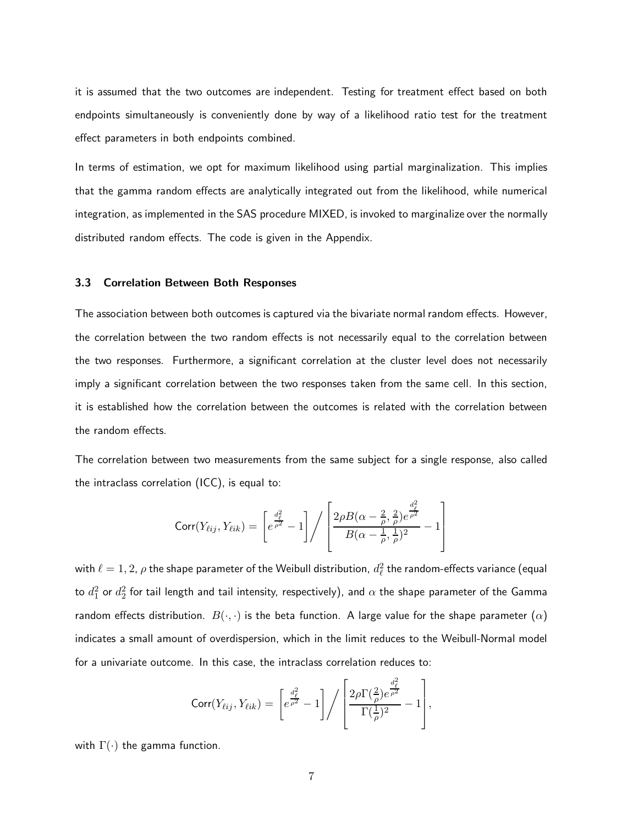it is assumed that the two outcomes are independent. Testing for treatment effect based on both endpoints simultaneously is conveniently done by way of a likelihood ratio test for the treatment effect parameters in both endpoints combined.

In terms of estimation, we opt for maximum likelihood using partial marginalization. This implies that the gamma random effects are analytically integrated out from the likelihood, while numerical integration, as implemented in the SAS procedure MIXED, is invoked to marginalize over the normally distributed random effects. The code is given in the Appendix.

#### 3.3 Correlation Between Both Responses

The association between both outcomes is captured via the bivariate normal random effects. However, the correlation between the two random effects is not necessarily equal to the correlation between the two responses. Furthermore, a significant correlation at the cluster level does not necessarily imply a significant correlation between the two responses taken from the same cell. In this section, it is established how the correlation between the outcomes is related with the correlation between the random effects.

The correlation between two measurements from the same subject for a single response, also called the intraclass correlation (ICC), is equal to:

$$
Corr(Y_{\ell ij}, Y_{\ell ik}) = \left[e^{\frac{d_{\ell}^{2}}{\rho^{2}}} - 1\right] / \left[\frac{2\rho B(\alpha - \frac{2}{\rho}, \frac{2}{\rho})e^{\frac{d_{\ell}^{2}}{\rho^{2}}}}{B(\alpha - \frac{1}{\rho}, \frac{1}{\rho})^{2}} - 1\right]
$$

with  $\ell = 1,2$ ,  $\rho$  the shape parameter of the Weibull distribution,  $d_\ell^2$  the random-effects variance (equal to  $d_1^2$  or  $d_2^2$  for tail length and tail intensity, respectively), and  $\alpha$  the shape parameter of the Gamma random effects distribution.  $B(\cdot, \cdot)$  is the beta function. A large value for the shape parameter  $(\alpha)$ indicates a small amount of overdispersion, which in the limit reduces to the Weibull-Normal model for a univariate outcome. In this case, the intraclass correlation reduces to:

$$
\text{Corr}(Y_{\ell ij}, Y_{\ell ik}) = \left[e^{\frac{d_{\ell}^2}{\rho^2}} - 1\right] / \left[\frac{2\rho\Gamma(\frac{2}{\rho})e^{\frac{d_{\ell}^2}{\rho^2}}}{\Gamma(\frac{1}{\rho})^2} - 1\right],
$$

with  $\Gamma(\cdot)$  the gamma function.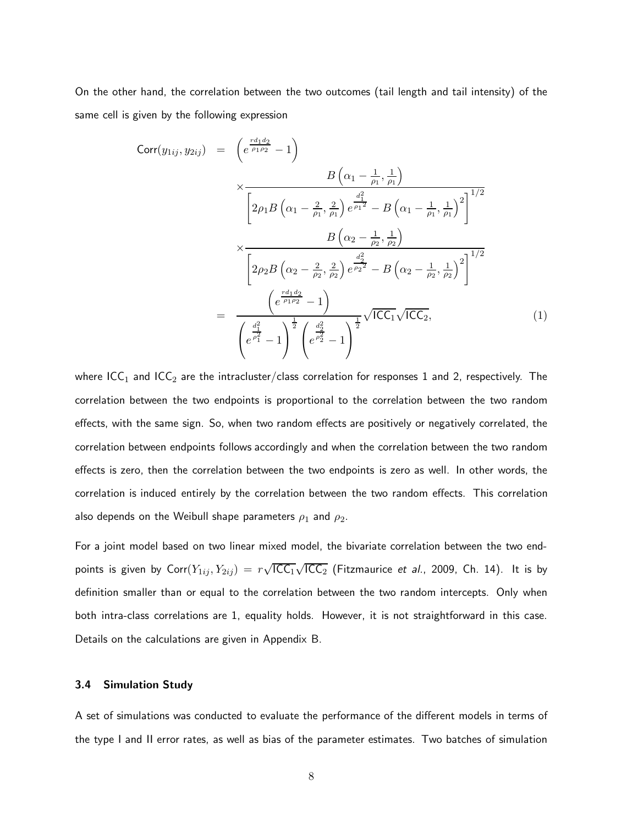On the other hand, the correlation between the two outcomes (tail length and tail intensity) of the same cell is given by the following expression

$$
Corr(y_{1ij}, y_{2ij}) = \left(\frac{e^{\frac{r d_1 d_2}{\rho_1 \rho_2}} - 1}{\sqrt{\frac{2\rho_1 B\left(\alpha_1 - \frac{2}{\rho_1}, \frac{2}{\rho_1}\right)e^{\frac{d_1^2}{\rho_1^2}} - B\left(\alpha_1 - \frac{1}{\rho_1}, \frac{1}{\rho_1}\right)^2}}\right)^{1/2}
$$
\n
$$
\times \frac{B\left(\alpha_2 - \frac{1}{\rho_2}, \frac{1}{\rho_2}\right)}{\left[2\rho_2 B\left(\alpha_2 - \frac{2}{\rho_2}, \frac{2}{\rho_2}\right)e^{\frac{d_2^2}{\rho_2^2}} - B\left(\alpha_2 - \frac{1}{\rho_2}, \frac{1}{\rho_2}\right)^2\right]^{1/2}}
$$
\n
$$
= \frac{\left(e^{\frac{r d_1 d_2}{\rho_1 \rho_2}} - 1\right)}{\left(e^{\frac{r d_1 d_2}{\rho_1 \rho_2}} - 1\right)^{\frac{1}{2}}\sqrt{\text{ICC}_1}\sqrt{\text{ICC}_2}},\tag{1}
$$

where ICC<sub>1</sub> and ICC<sub>2</sub> are the intracluster/class correlation for responses 1 and 2, respectively. The correlation between the two endpoints is proportional to the correlation between the two random effects, with the same sign. So, when two random effects are positively or negatively correlated, the correlation between endpoints follows accordingly and when the correlation between the two random effects is zero, then the correlation between the two endpoints is zero as well. In other words, the correlation is induced entirely by the correlation between the two random effects. This correlation also depends on the Weibull shape parameters  $\rho_1$  and  $\rho_2$ .

For a joint model based on two linear mixed model, the bivariate correlation between the two endpoints is given by  $\textsf{Corr}(Y_{1ij}, Y_{2ij}) = r\sqrt{\textsf{ICC}_1}\sqrt{\textsf{ICC}_2}$  (Fitzmaurice et al., 2009, Ch. 14). It is by definition smaller than or equal to the correlation between the two random intercepts. Only when both intra-class correlations are 1, equality holds. However, it is not straightforward in this case. Details on the calculations are given in Appendix B.

#### 3.4 Simulation Study

A set of simulations was conducted to evaluate the performance of the different models in terms of the type I and II error rates, as well as bias of the parameter estimates. Two batches of simulation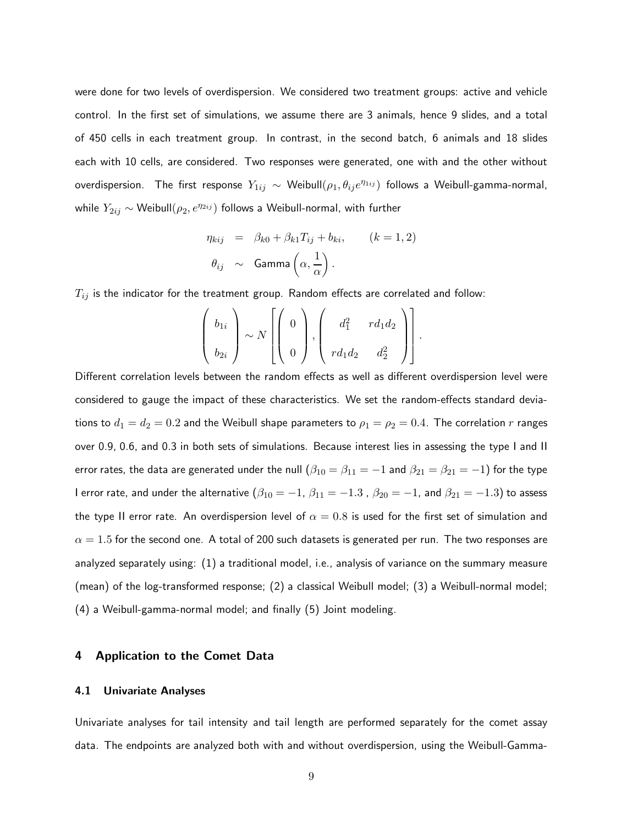were done for two levels of overdispersion. We considered two treatment groups: active and vehicle control. In the first set of simulations, we assume there are 3 animals, hence 9 slides, and a total of 450 cells in each treatment group. In contrast, in the second batch, 6 animals and 18 slides each with 10 cells, are considered. Two responses were generated, one with and the other without overdispersion. The first response  $Y_{1ij} \sim \mathsf{Weibull}(\rho_1, \theta_{ij} e^{\eta_{1ij}})$  follows a Weibull-gamma-normal, while  $Y_{2ij} \sim$  Weibull $(\rho_2, e^{\eta_2 i_j})$  follows a Weibull-normal, with further

$$
\eta_{kij} = \beta_{k0} + \beta_{k1} T_{ij} + b_{ki}, \qquad (k = 1, 2)
$$

$$
\theta_{ij} \sim \text{Gamma}\left(\alpha, \frac{1}{\alpha}\right).
$$

 $T_{ij}$  is the indicator for the treatment group. Random effects are correlated and follow:

$$
\left(\begin{array}{c}b_{1i}\\b_{2i}\end{array}\right)\sim N\left[\left(\begin{array}{c}0\\0\end{array}\right),\left(\begin{array}{cc}d_1^2&rd_1d_2\\rd_1d_2&d_2^2\end{array}\right)\right].
$$

Different correlation levels between the random effects as well as different overdispersion level were considered to gauge the impact of these characteristics. We set the random-effects standard deviations to  $d_1 = d_2 = 0.2$  and the Weibull shape parameters to  $\rho_1 = \rho_2 = 0.4$ . The correlation r ranges over 0.9, 0.6, and 0.3 in both sets of simulations. Because interest lies in assessing the type I and II error rates, the data are generated under the null  $(\beta_{10} = \beta_{11} = -1$  and  $\beta_{21} = \beta_{21} = -1)$  for the type I error rate, and under the alternative  $(\beta_{10} = -1, \beta_{11} = -1.3, \beta_{20} = -1, \text{ and } \beta_{21} = -1.3)$  to assess the type II error rate. An overdispersion level of  $\alpha = 0.8$  is used for the first set of simulation and  $\alpha = 1.5$  for the second one. A total of 200 such datasets is generated per run. The two responses are analyzed separately using: (1) a traditional model, i.e., analysis of variance on the summary measure (mean) of the log-transformed response; (2) a classical Weibull model; (3) a Weibull-normal model; (4) a Weibull-gamma-normal model; and finally (5) Joint modeling.

## 4 Application to the Comet Data

#### 4.1 Univariate Analyses

Univariate analyses for tail intensity and tail length are performed separately for the comet assay data. The endpoints are analyzed both with and without overdispersion, using the Weibull-Gamma-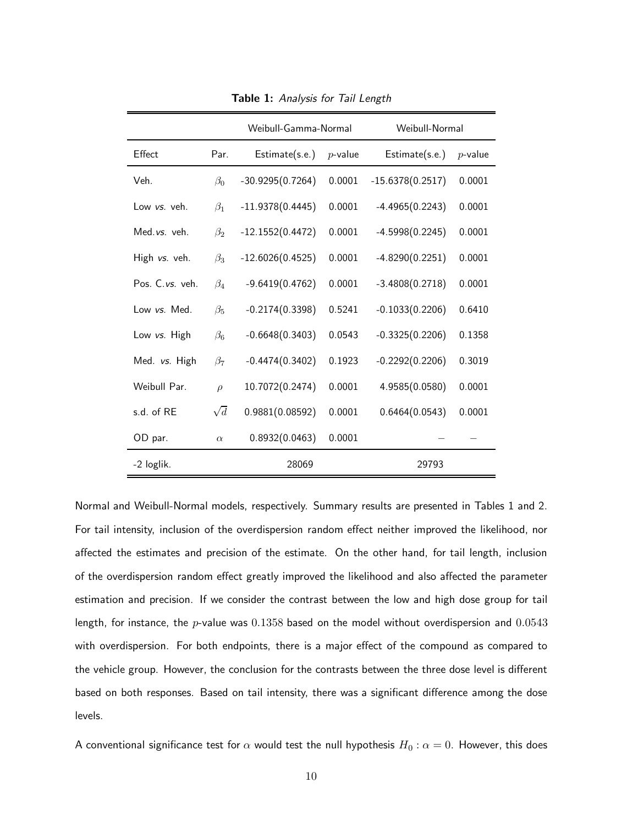|                 |            | Weibull-Gamma-Normal |            | Weibull-Normal     |            |
|-----------------|------------|----------------------|------------|--------------------|------------|
| Effect          | Par.       | Estimate(s.e.)       | $p$ -value | Estimate(s.e.)     | $p$ -value |
| Veh.            | $\beta_0$  | $-30.9295(0.7264)$   | 0.0001     | $-15.6378(0.2517)$ | 0.0001     |
| Low vs. veh.    | $\beta_1$  | $-11.9378(0.4445)$   | 0.0001     | $-4.4965(0.2243)$  | 0.0001     |
| Med.vs. veh.    | $\beta_2$  | $-12.1552(0.4472)$   | 0.0001     | $-4.5998(0.2245)$  | 0.0001     |
| High vs. veh.   | $\beta_3$  | $-12.6026(0.4525)$   | 0.0001     | $-4.8290(0.2251)$  | 0.0001     |
| Pos. C.vs. veh. | $\beta_4$  | $-9.6419(0.4762)$    | 0.0001     | $-3.4808(0.2718)$  | 0.0001     |
| Low vs. Med.    | $\beta_5$  | $-0.2174(0.3398)$    | 0.5241     | $-0.1033(0.2206)$  | 0.6410     |
| Low vs. High    | $\beta_6$  | $-0.6648(0.3403)$    | 0.0543     | $-0.3325(0.2206)$  | 0.1358     |
| Med. vs. High   | $\beta_7$  | $-0.4474(0.3402)$    | 0.1923     | $-0.2292(0.2206)$  | 0.3019     |
| Weibull Par.    | $\rho$     | 10.7072(0.2474)      | 0.0001     | 4.9585(0.0580)     | 0.0001     |
| s.d. of RE      | $\sqrt{d}$ | 0.9881(0.08592)      | 0.0001     | 0.6464(0.0543)     | 0.0001     |
| OD par.         | $\alpha$   | 0.8932(0.0463)       | 0.0001     |                    |            |
| -2 loglik.      |            | 28069                |            | 29793              |            |

Table 1: Analysis for Tail Length

Normal and Weibull-Normal models, respectively. Summary results are presented in Tables 1 and 2. For tail intensity, inclusion of the overdispersion random effect neither improved the likelihood, nor affected the estimates and precision of the estimate. On the other hand, for tail length, inclusion of the overdispersion random effect greatly improved the likelihood and also affected the parameter estimation and precision. If we consider the contrast between the low and high dose group for tail length, for instance, the  $p$ -value was 0.1358 based on the model without overdispersion and 0.0543 with overdispersion. For both endpoints, there is a major effect of the compound as compared to the vehicle group. However, the conclusion for the contrasts between the three dose level is different based on both responses. Based on tail intensity, there was a significant difference among the dose levels.

A conventional significance test for  $\alpha$  would test the null hypothesis  $H_0$  :  $\alpha = 0$ . However, this does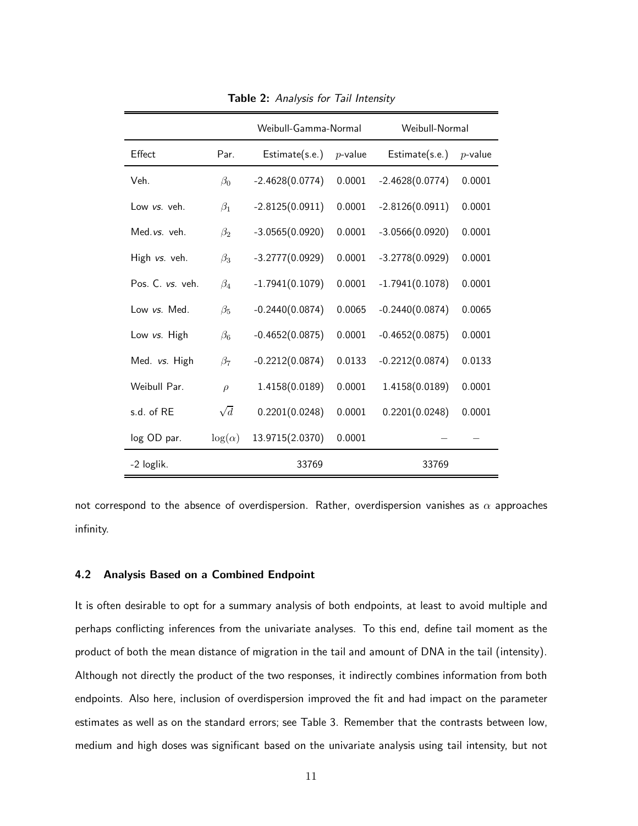|                  |                | Weibull-Gamma-Normal |            | Weibull-Normal    |            |
|------------------|----------------|----------------------|------------|-------------------|------------|
| Effect           | Par.           | Estimate(s.e.)       | $p$ -value | Estimate(s.e.)    | $p$ -value |
| Veh.             | $\beta_0$      | $-2.4628(0.0774)$    | 0.0001     | $-2.4628(0.0774)$ | 0.0001     |
| Low vs. veh.     | $\beta_1$      | $-2.8125(0.0911)$    | 0.0001     | $-2.8126(0.0911)$ | 0.0001     |
| Med. vs. veh.    | $\beta_2$      | $-3.0565(0.0920)$    | 0.0001     | $-3.0566(0.0920)$ | 0.0001     |
| High vs. veh.    | $\beta_3$      | $-3.2777(0.0929)$    | 0.0001     | $-3.2778(0.0929)$ | 0.0001     |
| Pos. C. vs. veh. | $\beta_4$      | $-1.7941(0.1079)$    | 0.0001     | $-1.7941(0.1078)$ | 0.0001     |
| Low vs. Med.     | $\beta_5$      | $-0.2440(0.0874)$    | 0.0065     | $-0.2440(0.0874)$ | 0.0065     |
| Low vs. High     | $\beta_6$      | $-0.4652(0.0875)$    | 0.0001     | $-0.4652(0.0875)$ | 0.0001     |
| Med. vs. High    | $\beta_7$      | $-0.2212(0.0874)$    | 0.0133     | $-0.2212(0.0874)$ | 0.0133     |
| Weibull Par.     | $\rho$         | 1.4158(0.0189)       | 0.0001     | 1.4158(0.0189)    | 0.0001     |
| s.d. of RE       | $\sqrt{d}$     | 0.2201(0.0248)       | 0.0001     | 0.2201(0.0248)    | 0.0001     |
| log OD par.      | $\log(\alpha)$ | 13.9715(2.0370)      | 0.0001     |                   |            |
| -2 loglik.       |                | 33769                |            | 33769             |            |

Table 2: Analysis for Tail Intensity

not correspond to the absence of overdispersion. Rather, overdispersion vanishes as  $\alpha$  approaches infinity.

#### 4.2 Analysis Based on a Combined Endpoint

It is often desirable to opt for a summary analysis of both endpoints, at least to avoid multiple and perhaps conflicting inferences from the univariate analyses. To this end, define tail moment as the product of both the mean distance of migration in the tail and amount of DNA in the tail (intensity). Although not directly the product of the two responses, it indirectly combines information from both endpoints. Also here, inclusion of overdispersion improved the fit and had impact on the parameter estimates as well as on the standard errors; see Table 3. Remember that the contrasts between low, medium and high doses was significant based on the univariate analysis using tail intensity, but not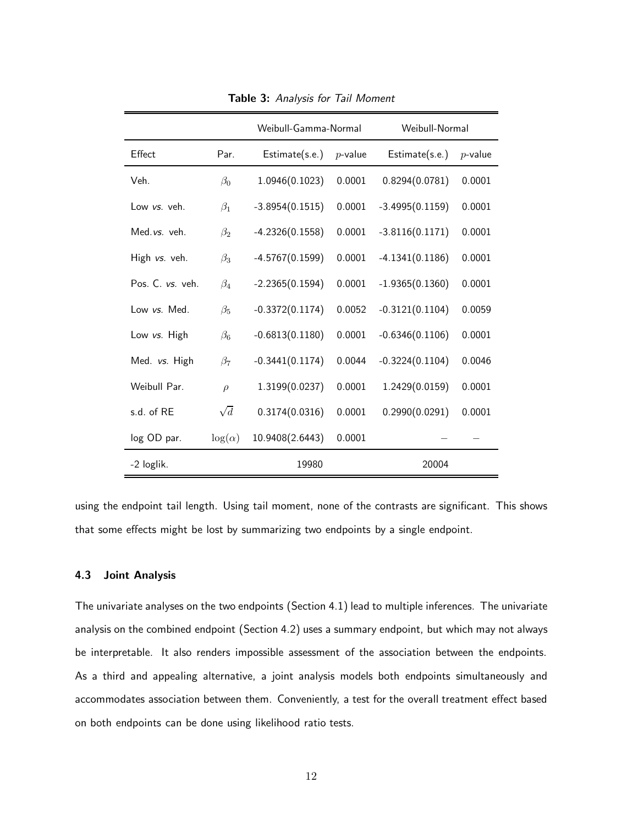|                  |                | Weibull-Gamma-Normal |            | Weibull-Normal    |            |
|------------------|----------------|----------------------|------------|-------------------|------------|
| Effect           | Par.           | Estimate(s.e.)       | $p$ -value | Estimate(s.e.)    | $p$ -value |
| Veh.             | $\beta_0$      | 1.0946(0.1023)       | 0.0001     | 0.8294(0.0781)    | 0.0001     |
| Low vs. veh.     | $\beta_1$      | $-3.8954(0.1515)$    | 0.0001     | $-3.4995(0.1159)$ | 0.0001     |
| Med.vs. veh.     | $\beta_2$      | $-4.2326(0.1558)$    | 0.0001     | $-3.8116(0.1171)$ | 0.0001     |
| High vs. veh.    | $\beta_3$      | $-4.5767(0.1599)$    | 0.0001     | $-4.1341(0.1186)$ | 0.0001     |
| Pos. C. vs. veh. | $\beta_4$      | $-2.2365(0.1594)$    | 0.0001     | $-1.9365(0.1360)$ | 0.0001     |
| Low vs. Med.     | $\beta_5$      | $-0.3372(0.1174)$    | 0.0052     | $-0.3121(0.1104)$ | 0.0059     |
| Low vs. High     | $\beta_6$      | $-0.6813(0.1180)$    | 0.0001     | $-0.6346(0.1106)$ | 0.0001     |
| Med. vs. High    | $\beta_7$      | $-0.3441(0.1174)$    | 0.0044     | $-0.3224(0.1104)$ | 0.0046     |
| Weibull Par.     | $\rho$         | 1.3199(0.0237)       | 0.0001     | 1.2429(0.0159)    | 0.0001     |
| s.d. of RE       | $\sqrt{d}$     | 0.3174(0.0316)       | 0.0001     | 0.2990(0.0291)    | 0.0001     |
| log OD par.      | $\log(\alpha)$ | 10.9408(2.6443)      | 0.0001     |                   |            |
| -2 loglik.       |                | 19980                |            | 20004             |            |

Table 3: Analysis for Tail Moment

using the endpoint tail length. Using tail moment, none of the contrasts are significant. This shows that some effects might be lost by summarizing two endpoints by a single endpoint.

#### 4.3 Joint Analysis

The univariate analyses on the two endpoints (Section 4.1) lead to multiple inferences. The univariate analysis on the combined endpoint (Section 4.2) uses a summary endpoint, but which may not always be interpretable. It also renders impossible assessment of the association between the endpoints. As a third and appealing alternative, a joint analysis models both endpoints simultaneously and accommodates association between them. Conveniently, a test for the overall treatment effect based on both endpoints can be done using likelihood ratio tests.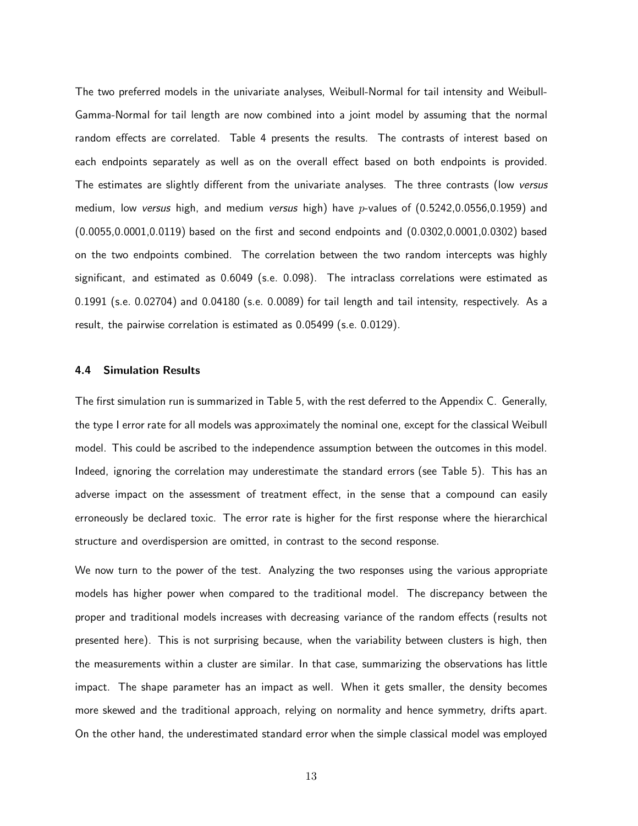The two preferred models in the univariate analyses, Weibull-Normal for tail intensity and Weibull-Gamma-Normal for tail length are now combined into a joint model by assuming that the normal random effects are correlated. Table 4 presents the results. The contrasts of interest based on each endpoints separately as well as on the overall effect based on both endpoints is provided. The estimates are slightly different from the univariate analyses. The three contrasts (low versus medium, low versus high, and medium versus high) have  $p$ -values of  $(0.5242, 0.0556, 0.1959)$  and (0.0055,0.0001,0.0119) based on the first and second endpoints and (0.0302,0.0001,0.0302) based on the two endpoints combined. The correlation between the two random intercepts was highly significant, and estimated as 0.6049 (s.e. 0.098). The intraclass correlations were estimated as 0.1991 (s.e. 0.02704) and 0.04180 (s.e. 0.0089) for tail length and tail intensity, respectively. As a result, the pairwise correlation is estimated as 0.05499 (s.e. 0.0129).

#### 4.4 Simulation Results

The first simulation run is summarized in Table 5, with the rest deferred to the Appendix C. Generally, the type I error rate for all models was approximately the nominal one, except for the classical Weibull model. This could be ascribed to the independence assumption between the outcomes in this model. Indeed, ignoring the correlation may underestimate the standard errors (see Table 5). This has an adverse impact on the assessment of treatment effect, in the sense that a compound can easily erroneously be declared toxic. The error rate is higher for the first response where the hierarchical structure and overdispersion are omitted, in contrast to the second response.

We now turn to the power of the test. Analyzing the two responses using the various appropriate models has higher power when compared to the traditional model. The discrepancy between the proper and traditional models increases with decreasing variance of the random effects (results not presented here). This is not surprising because, when the variability between clusters is high, then the measurements within a cluster are similar. In that case, summarizing the observations has little impact. The shape parameter has an impact as well. When it gets smaller, the density becomes more skewed and the traditional approach, relying on normality and hence symmetry, drifts apart. On the other hand, the underestimated standard error when the simple classical model was employed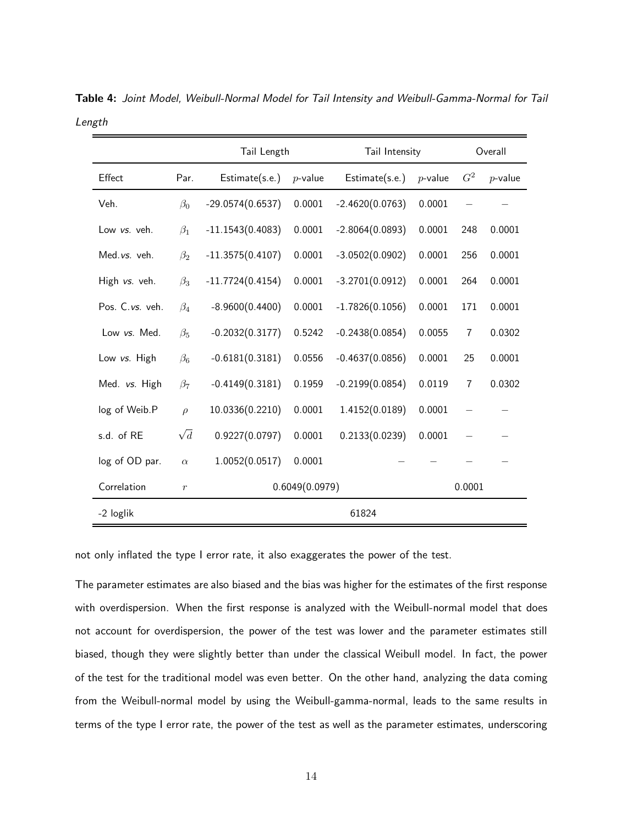|                 |            | Tail Length        | Tail Intensity |                   |            | Overall        |            |  |
|-----------------|------------|--------------------|----------------|-------------------|------------|----------------|------------|--|
| Effect          | Par.       | Estimate(s.e.)     | $p$ -value     | Estimate(s.e.)    | $p$ -value | G <sup>2</sup> | $p$ -value |  |
| Veh.            | $\beta_0$  | $-29.0574(0.6537)$ | 0.0001         | $-2.4620(0.0763)$ | 0.0001     |                |            |  |
| Low vs. veh.    | $\beta_1$  | $-11.1543(0.4083)$ | 0.0001         | $-2.8064(0.0893)$ | 0.0001     | 248            | 0.0001     |  |
| Med.vs. veh.    | $\beta_2$  | $-11.3575(0.4107)$ | 0.0001         | $-3.0502(0.0902)$ | 0.0001     | 256            | 0.0001     |  |
| High vs. veh.   | $\beta_3$  | $-11.7724(0.4154)$ | 0.0001         | $-3.2701(0.0912)$ | 0.0001     | 264            | 0.0001     |  |
| Pos. C.vs. veh. | $\beta_4$  | $-8.9600(0.4400)$  | 0.0001         | $-1.7826(0.1056)$ | 0.0001     | 171            | 0.0001     |  |
| Low vs. Med.    | $\beta_5$  | $-0.2032(0.3177)$  | 0.5242         | $-0.2438(0.0854)$ | 0.0055     | $\overline{7}$ | 0.0302     |  |
| Low vs. High    | $\beta_6$  | $-0.6181(0.3181)$  | 0.0556         | $-0.4637(0.0856)$ | 0.0001     | 25             | 0.0001     |  |
| Med. vs. High   | $\beta_7$  | $-0.4149(0.3181)$  | 0.1959         | $-0.2199(0.0854)$ | 0.0119     | $\overline{7}$ | 0.0302     |  |
| log of Weib.P   | $\rho$     | 10.0336(0.2210)    | 0.0001         | 1.4152(0.0189)    | 0.0001     |                |            |  |
| s.d. of RE      | $\sqrt{d}$ | 0.9227(0.0797)     | 0.0001         | 0.2133(0.0239)    | 0.0001     |                |            |  |
| log of OD par.  | $\alpha$   | 1.0052(0.0517)     | 0.0001         |                   |            |                |            |  |
| Correlation     | $\,r\,$    |                    | 0.6049(0.0979) |                   |            | 0.0001         |            |  |
| -2 loglik       |            |                    | 61824          |                   |            |                |            |  |

Table 4: Joint Model, Weibull-Normal Model for Tail Intensity and Weibull-Gamma-Normal for Tail Length

not only inflated the type I error rate, it also exaggerates the power of the test.

The parameter estimates are also biased and the bias was higher for the estimates of the first response with overdispersion. When the first response is analyzed with the Weibull-normal model that does not account for overdispersion, the power of the test was lower and the parameter estimates still biased, though they were slightly better than under the classical Weibull model. In fact, the power of the test for the traditional model was even better. On the other hand, analyzing the data coming from the Weibull-normal model by using the Weibull-gamma-normal, leads to the same results in terms of the type I error rate, the power of the test as well as the parameter estimates, underscoring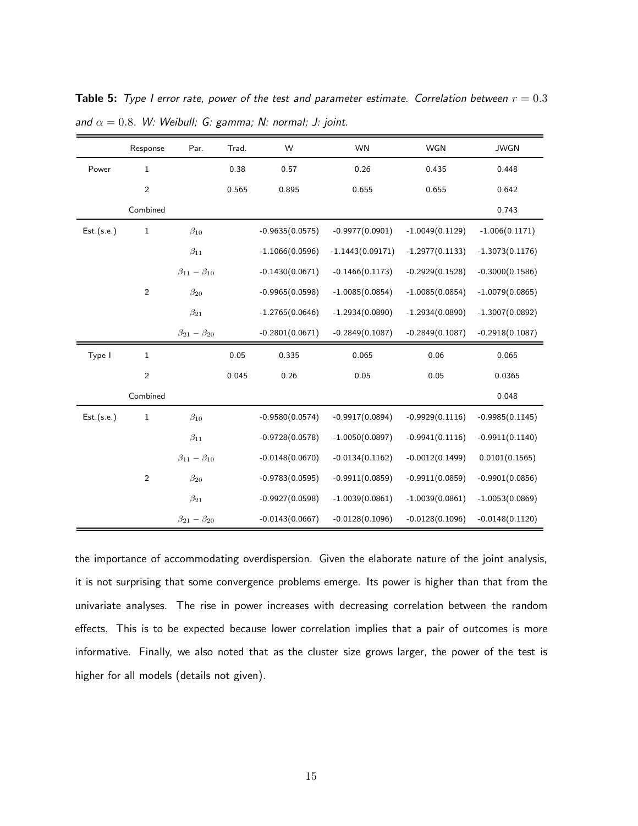|            | Response       | Par.                      | Trad. | W                 | <b>WN</b>          | <b>WGN</b>        | <b>JWGN</b>       |
|------------|----------------|---------------------------|-------|-------------------|--------------------|-------------------|-------------------|
| Power      | $\mathbf{1}$   |                           | 0.38  | 0.57              | 0.26               | 0.435             | 0.448             |
|            | 2              |                           | 0.565 | 0.895             | 0.655              | 0.655             | 0.642             |
|            | Combined       |                           |       |                   |                    |                   | 0.743             |
| Est.(s.e.) | $\mathbf 1$    | $\beta_{10}$              |       | $-0.9635(0.0575)$ | $-0.9977(0.0901)$  | $-1.0049(0.1129)$ | $-1.006(0.1171)$  |
|            |                | $\beta_{11}$              |       | $-1.1066(0.0596)$ | $-1.1443(0.09171)$ | $-1.2977(0.1133)$ | $-1.3073(0.1176)$ |
|            |                | $\beta_{11} - \beta_{10}$ |       | $-0.1430(0.0671)$ | $-0.1466(0.1173)$  | $-0.2929(0.1528)$ | $-0.3000(0.1586)$ |
|            | 2              | $\beta_{20}$              |       | $-0.9965(0.0598)$ | $-1.0085(0.0854)$  | $-1.0085(0.0854)$ | $-1.0079(0.0865)$ |
|            |                | $\beta_{21}$              |       | $-1.2765(0.0646)$ | $-1.2934(0.0890)$  | $-1.2934(0.0890)$ | $-1.3007(0.0892)$ |
|            |                | $\beta_{21} - \beta_{20}$ |       | $-0.2801(0.0671)$ | $-0.2849(0.1087)$  | $-0.2849(0.1087)$ | $-0.2918(0.1087)$ |
| Type I     | $\mathbf{1}$   |                           | 0.05  | 0.335             | 0.065              | 0.06              | 0.065             |
|            | $\sqrt{2}$     |                           | 0.045 | 0.26              | 0.05               | 0.05              | 0.0365            |
|            | Combined       |                           |       |                   |                    |                   | 0.048             |
| Est.(s.e.) | $\mathbf 1$    | $\beta_{10}$              |       | $-0.9580(0.0574)$ | $-0.9917(0.0894)$  | $-0.9929(0.1116)$ | $-0.9985(0.1145)$ |
|            |                | $\beta_{11}$              |       | $-0.9728(0.0578)$ | $-1.0050(0.0897)$  | $-0.9941(0.1116)$ | $-0.9911(0.1140)$ |
|            |                | $\beta_{11} - \beta_{10}$ |       | $-0.0148(0.0670)$ | $-0.0134(0.1162)$  | $-0.0012(0.1499)$ | 0.0101(0.1565)    |
|            | $\overline{2}$ | $\beta_{20}$              |       | $-0.9783(0.0595)$ | $-0.9911(0.0859)$  | $-0.9911(0.0859)$ | $-0.9901(0.0856)$ |
|            |                | $\beta_{21}$              |       | $-0.9927(0.0598)$ | $-1.0039(0.0861)$  | $-1.0039(0.0861)$ | $-1.0053(0.0869)$ |
|            |                | $\beta_{21} - \beta_{20}$ |       | $-0.0143(0.0667)$ | $-0.0128(0.1096)$  | $-0.0128(0.1096)$ | $-0.0148(0.1120)$ |

**Table 5:** Type I error rate, power of the test and parameter estimate. Correlation between  $r = 0.3$ and  $\alpha = 0.8$ . W: Weibull; G: gamma; N: normal; J: joint.

the importance of accommodating overdispersion. Given the elaborate nature of the joint analysis, it is not surprising that some convergence problems emerge. Its power is higher than that from the univariate analyses. The rise in power increases with decreasing correlation between the random effects. This is to be expected because lower correlation implies that a pair of outcomes is more informative. Finally, we also noted that as the cluster size grows larger, the power of the test is higher for all models (details not given).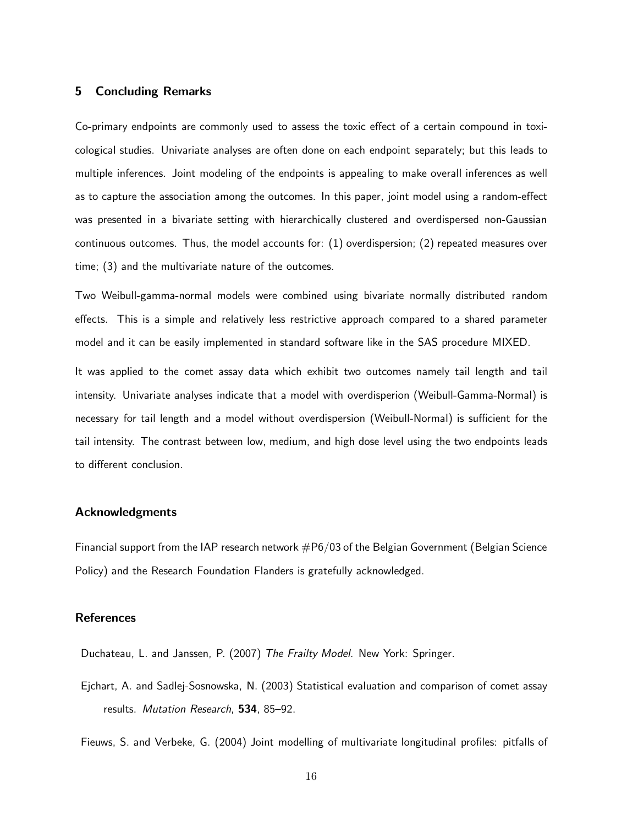# 5 Concluding Remarks

Co-primary endpoints are commonly used to assess the toxic effect of a certain compound in toxicological studies. Univariate analyses are often done on each endpoint separately; but this leads to multiple inferences. Joint modeling of the endpoints is appealing to make overall inferences as well as to capture the association among the outcomes. In this paper, joint model using a random-effect was presented in a bivariate setting with hierarchically clustered and overdispersed non-Gaussian continuous outcomes. Thus, the model accounts for: (1) overdispersion; (2) repeated measures over time; (3) and the multivariate nature of the outcomes.

Two Weibull-gamma-normal models were combined using bivariate normally distributed random effects. This is a simple and relatively less restrictive approach compared to a shared parameter model and it can be easily implemented in standard software like in the SAS procedure MIXED.

It was applied to the comet assay data which exhibit two outcomes namely tail length and tail intensity. Univariate analyses indicate that a model with overdisperion (Weibull-Gamma-Normal) is necessary for tail length and a model without overdispersion (Weibull-Normal) is sufficient for the tail intensity. The contrast between low, medium, and high dose level using the two endpoints leads to different conclusion.

#### Acknowledgments

Financial support from the IAP research network  $#P6/03$  of the Belgian Government (Belgian Science Policy) and the Research Foundation Flanders is gratefully acknowledged.

### **References**

Duchateau, L. and Janssen, P. (2007) The Frailty Model. New York: Springer.

Ejchart, A. and Sadlej-Sosnowska, N. (2003) Statistical evaluation and comparison of comet assay results. Mutation Research, 534, 85–92.

Fieuws, S. and Verbeke, G. (2004) Joint modelling of multivariate longitudinal profiles: pitfalls of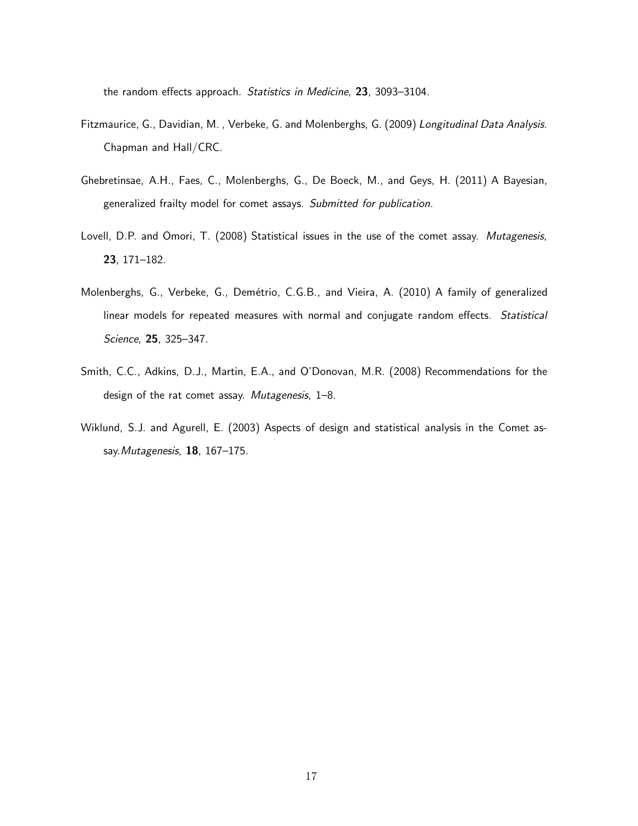the random effects approach. Statistics in Medicine, 23, 3093–3104.

- Fitzmaurice, G., Davidian, M. , Verbeke, G. and Molenberghs, G. (2009) Longitudinal Data Analysis. Chapman and Hall/CRC.
- Ghebretinsae, A.H., Faes, C., Molenberghs, G., De Boeck, M., and Geys, H. (2011) A Bayesian, generalized frailty model for comet assays. Submitted for publication.
- Lovell, D.P. and Omori, T. (2008) Statistical issues in the use of the comet assay. Mutagenesis, 23, 171–182.
- Molenberghs, G., Verbeke, G., Demétrio, C.G.B., and Vieira, A. (2010) A family of generalized linear models for repeated measures with normal and conjugate random effects. Statistical Science, 25, 325–347.
- Smith, C.C., Adkins, D.J., Martin, E.A., and O'Donovan, M.R. (2008) Recommendations for the design of the rat comet assay. Mutagenesis, 1–8.
- Wiklund, S.J. and Agurell, E. (2003) Aspects of design and statistical analysis in the Comet assay. Mutagenesis, 18, 167-175.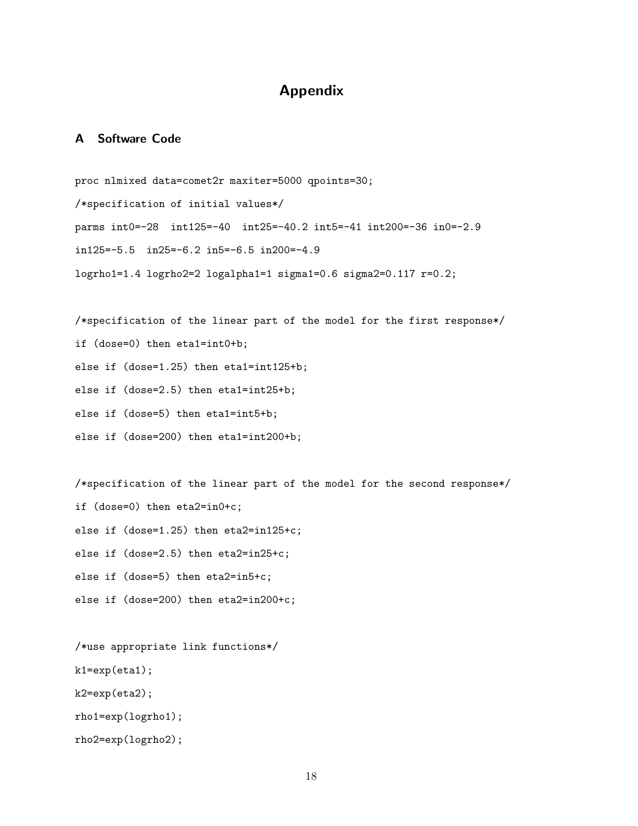# Appendix

# A Software Code

proc nlmixed data=comet2r maxiter=5000 qpoints=30; /\*specification of initial values\*/ parms int0=-28 int125=-40 int25=-40.2 int5=-41 int200=-36 in0=-2.9 in125=-5.5 in25=-6.2 in5=-6.5 in200=-4.9 logrho1=1.4 logrho2=2 logalpha1=1 sigma1=0.6 sigma2=0.117 r=0.2;

/\*specification of the linear part of the model for the first response\*/ if (dose=0) then eta1=int0+b; else if (dose=1.25) then eta1=int125+b; else if (dose=2.5) then eta1=int25+b; else if (dose=5) then eta1=int5+b; else if (dose=200) then eta1=int200+b;

/\*specification of the linear part of the model for the second response\*/ if (dose=0) then eta2=in0+c; else if (dose=1.25) then eta2=in125+c; else if (dose=2.5) then eta2=in25+c; else if (dose=5) then eta2=in5+c; else if (dose=200) then eta2=in200+c;

/\*use appropriate link functions\*/ k1=exp(eta1); k2=exp(eta2); rho1=exp(logrho1); rho2=exp(logrho2);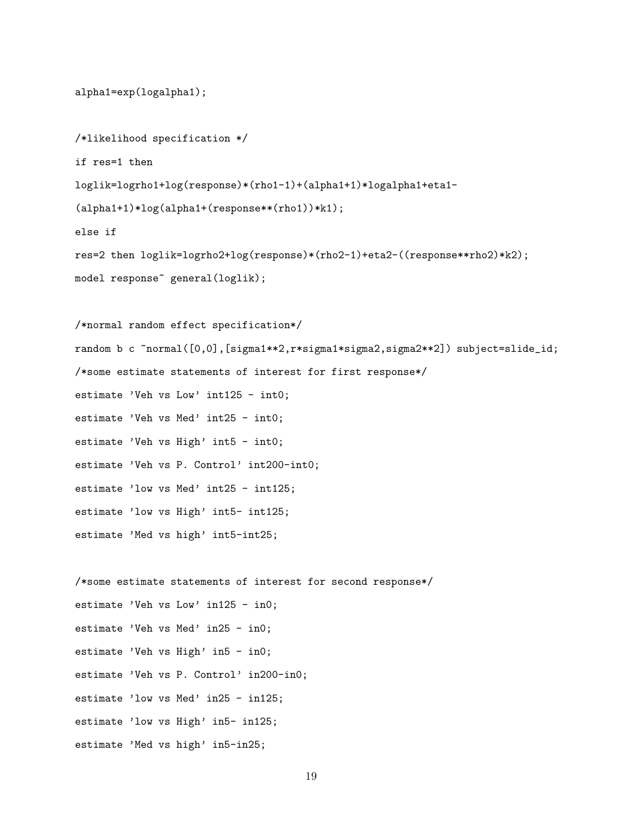```
alpha1=exp(logalpha1);
/*likelihood specification */
if res=1 then
loglik=logrho1+log(response)*(rho1-1)+(alpha1+1)*logalpha1+eta1-
(alpha1+1)*log(alpha1+(response**(rho1))*k1);
else if
res=2 then loglik=logrho2+log(response)*(rho2-1)+eta2-((response**rho2)*k2);
model response~ general(loglik);
/*normal random effect specification*/
random b c ~normal([0,0],[sigma1**2,r*sigma1*sigma2,sigma2**2]) subject=slide_id;
/*some estimate statements of interest for first response*/
estimate 'Veh vs Low' int125 - int0;
estimate 'Veh vs Med' int25 - int0;
```

```
estimate 'Veh vs High' int5 - int0;
```
estimate 'Veh vs P. Control' int200-int0;

estimate 'low vs Med' int25 - int125;

estimate 'low vs High' int5- int125;

estimate 'Med vs high' int5-int25;

/\*some estimate statements of interest for second response\*/ estimate 'Veh vs Low' in125 - in0; estimate 'Veh vs Med' in25 - in0; estimate 'Veh vs High' in5 - in0; estimate 'Veh vs P. Control' in200-in0; estimate 'low vs Med' in25 - in125; estimate 'low vs High' in5- in125; estimate 'Med vs high' in5-in25;

19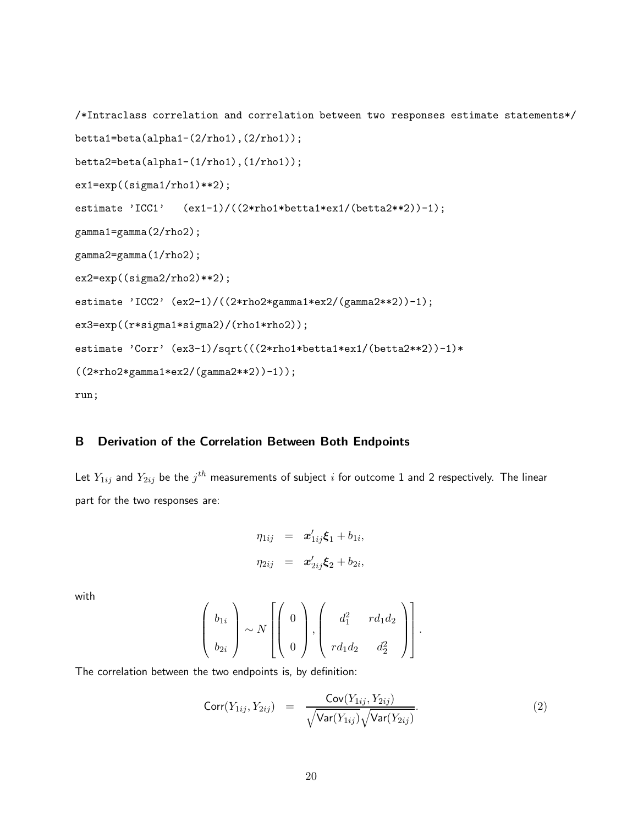```
/*Intraclass correlation and correlation between two responses estimate statements*/
betta1=beta(alpha1-(2/rho1),(2/rho1));
betta2=beta(alpha1-(1/rho1),(1/rho1));
ex1=exp((sigma1/rho1)**2);
estimate 'ICC1' (ex1-1)/((2*rho1*beta*ex1/(betta2**2))-1);gamma1=gamma(2/rho2);
gamma2=gamma(1/rho2);
ex2=exp((sigma2/rho2)**2);
estimate 'ICC2' (ex2-1)/((2*rho2*gamma1*ex2/(gamma2**2))-1);
ex3=exp((r*sigma1*sigma2)/(rho1*rho2));
estimate 'Corr' (ex3-1)/sqrt(((2*rho1*betta1*ex1/(betta2**2))-1)*((2*rho2*gamma1*ex2/(gamma2**2))-1));
run;
```
# B Derivation of the Correlation Between Both Endpoints

Let  $Y_{1ij}$  and  $Y_{2ij}$  be the  $j^{th}$  measurements of subject  $i$  for outcome  $1$  and  $2$  respectively. The linear part for the two responses are:

$$
\eta_{1ij} = \mathbf{x}'_{1ij}\mathbf{\xi}_1 + b_{1i},
$$
  

$$
\eta_{2ij} = \mathbf{x}'_{2ij}\mathbf{\xi}_2 + b_{2i},
$$

with

$$
\left(\begin{array}{c}b_{1i}\\b_{2i}\end{array}\right)\sim N\left[\left(\begin{array}{c}0\\0\end{array}\right),\left(\begin{array}{cc}d_1^2&rd_1d_2\\rd_1d_2&d_2^2\end{array}\right)\right].
$$

The correlation between the two endpoints is, by definition:

$$
Corr(Y_{1ij}, Y_{2ij}) = \frac{Cov(Y_{1ij}, Y_{2ij})}{\sqrt{Var(Y_{1ij})}\sqrt{Var(Y_{2ij})}}.
$$
\n(2)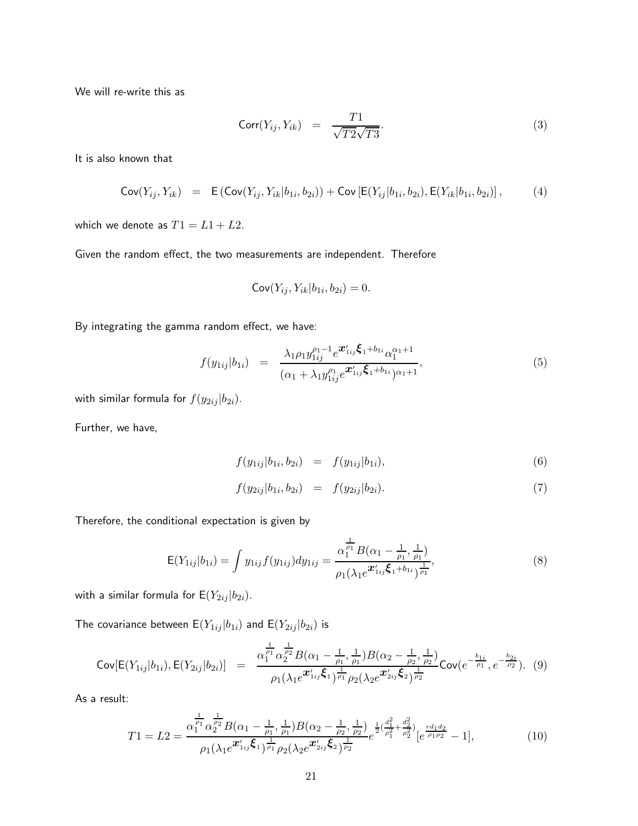We will re-write this as

$$
Corr(Y_{ij}, Y_{ik}) = \frac{T1}{\sqrt{T2}\sqrt{T3}}.
$$
\n(3)

It is also known that

$$
Cov(Y_{ij}, Y_{ik}) = E(Cov(Y_{ij}, Y_{ik}|b_{1i}, b_{2i})) + Cov[E(Y_{ij}|b_{1i}, b_{2i}), E(Y_{ik}|b_{1i}, b_{2i})],
$$
 (4)

which we denote as  $T1 = L1 + L2$ .

Given the random effect, the two measurements are independent. Therefore

$$
\mathsf{Cov}(Y_{ij}, Y_{ik}|b_{1i}, b_{2i}) = 0.
$$

By integrating the gamma random effect, we have:

$$
f(y_{1ij}|b_{1i}) = \frac{\lambda_1 \rho_1 y_{1ij}^{\rho_1 - 1} e^{\mathbf{x}_{1ij}'} \xi_1 + b_{1i} \alpha_1^{\alpha_1 + 1}}{(\alpha_1 + \lambda_1 y_{1ij}^{\rho_1} e^{\mathbf{x}_{1ij}'} \xi_1 + b_{1i} \alpha_1 + 1},
$$
\n
$$
(5)
$$

with similar formula for  $f(y_{2ij} | b_{2i})$ .

Further, we have,

$$
f(y_{1ij}|b_{1i}, b_{2i}) = f(y_{1ij}|b_{1i}), \qquad (6)
$$

$$
f(y_{2ij}|b_{1i}, b_{2i}) = f(y_{2ij}|b_{2i}). \tag{7}
$$

Therefore, the conditional expectation is given by

$$
\mathsf{E}(Y_{1ij}|b_{1i}) = \int y_{1ij} f(y_{1ij}) dy_{1ij} = \frac{\alpha_1^{\frac{1}{\rho_1}} B(\alpha_1 - \frac{1}{\rho_1}, \frac{1}{\rho_1})}{\rho_1(\lambda_1 e^{\mathbf{x}_{1ij}'} \xi_1 + b_{1i})^{\frac{1}{\rho_1}}},\tag{8}
$$

with a similar formula for  $E(Y_{2ij} | b_{2i})$ .

The covariance between  $\mathsf{E}(Y_{1ij} | b_{1i})$  and  $\mathsf{E}(Y_{2ij} | b_{2i})$  is

$$
\text{Cov}[\mathsf{E}(Y_{1ij}|b_{1i}),\mathsf{E}(Y_{2ij}|b_{2i})] = \frac{\alpha_1^{\frac{1}{\rho_1}}\alpha_2^{\frac{1}{\rho_2}}B(\alpha_1-\frac{1}{\rho_1},\frac{1}{\rho_1})B(\alpha_2-\frac{1}{\rho_2},\frac{1}{\rho_2})}{\rho_1(\lambda_1 e^{\boldsymbol{x}_{1ij}'}\boldsymbol{\xi}_1)^{\frac{1}{\rho_1}}\rho_2(\lambda_2 e^{\boldsymbol{x}_{2ij}'}\boldsymbol{\xi}_2)^{\frac{1}{\rho_2}}} \text{Cov}(e^{-\frac{b_{1i}}{\rho_1}},e^{-\frac{b_{2i}}{\rho_2}}). (9)
$$

As a result:

$$
T1 = L2 = \frac{\alpha_1^{\frac{1}{\rho_1}} \alpha_2^{\frac{1}{\rho_2}} B(\alpha_1 - \frac{1}{\rho_1}, \frac{1}{\rho_1}) B(\alpha_2 - \frac{1}{\rho_2}, \frac{1}{\rho_2})}{\rho_1 (\lambda_1 e^{\mathbf{x}'_{1ij} \boldsymbol{\xi}_1})^{\frac{1}{\rho_1}} \rho_2 (\lambda_2 e^{\mathbf{x}'_{2ij} \boldsymbol{\xi}_2})^{\frac{1}{\rho_2}}} e^{\frac{1}{2} (\frac{d_1^2}{\rho_1^2} + \frac{d_2^2}{\rho_2^2})} [e^{\frac{r d_1 d_2}{\rho_1 \rho_2}} - 1],
$$
(10)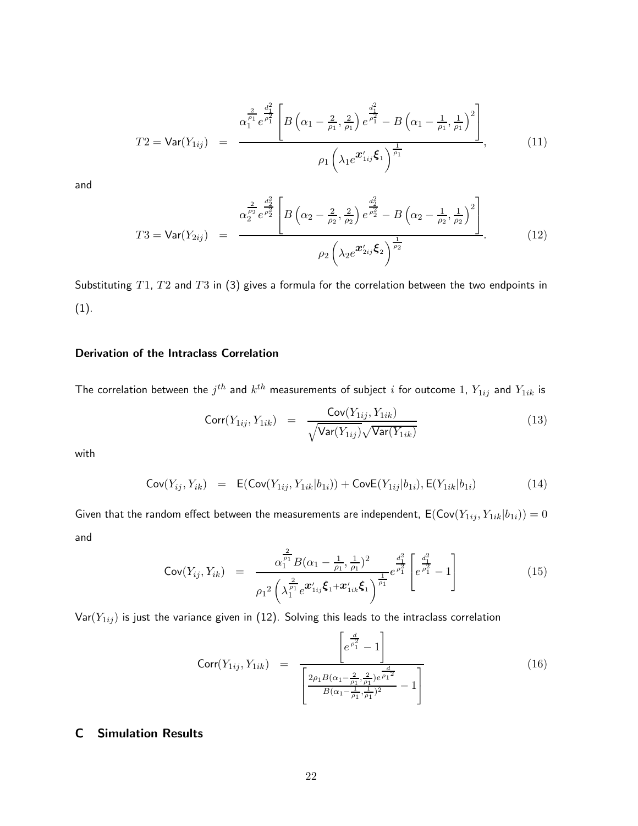$$
T2 = \text{Var}(Y_{1ij}) = \frac{\alpha_1^{\frac{2}{\rho_1}} e^{\frac{d_1^2}{\rho_1^2}} \left[ B\left(\alpha_1 - \frac{2}{\rho_1}, \frac{2}{\rho_1}\right) e^{\frac{d_1^2}{\rho_1^2}} - B\left(\alpha_1 - \frac{1}{\rho_1}, \frac{1}{\rho_1}\right)^2 \right]}{\rho_1 \left(\lambda_1 e^{\boldsymbol{x}_{1ij}^{\prime}} \boldsymbol{\xi}_1\right)^{\frac{1}{\rho_1}}},\tag{11}
$$

and

$$
T3 = \text{Var}(Y_{2ij}) = \frac{\alpha_2^{\frac{2}{\rho_2^2}} e^{\frac{d_2^2}{\rho_2^2}}}{\rho_2 \left(\lambda_2 e^{\frac{\mathbf{x}_2}{\rho_2^2}} t_2\right)^{\frac{d_2^2}{\rho_2^2}} - B\left(\alpha_2 - \frac{1}{\rho_2}, \frac{1}{\rho_2}\right)^2}
$$
\n
$$
\rho_2 \left(\lambda_2 e^{\frac{\mathbf{x}_2}{\rho_2^2}} t_2\right)^{\frac{1}{\rho_2^2}} \tag{12}
$$

Substituting  $T1$ ,  $T2$  and  $T3$  in (3) gives a formula for the correlation between the two endpoints in (1).

# Derivation of the Intraclass Correlation

The correlation between the  $j^{th}$  and  $k^{th}$  measurements of subject  $i$  for outcome  $1,$   $Y_{1ij}$  and  $Y_{1ik}$  is

$$
Corr(Y_{1ij}, Y_{1ik}) = \frac{Cov(Y_{1ij}, Y_{1ik})}{\sqrt{Var(Y_{1ij})}\sqrt{Var(Y_{1ik})}}
$$
(13)

with

$$
Cov(Y_{ij}, Y_{ik}) = E(Cov(Y_{1ij}, Y_{1ik}|b_{1i})) + CovE(Y_{1ij}|b_{1i}), E(Y_{1ik}|b_{1i})
$$
\n(14)

Given that the random effect between the measurements are independent,  $\mathsf{E}(\mathsf{Cov}(Y_{1ij}, Y_{1ik}|b_{1i})) = 0$ and

$$
\text{Cov}(Y_{ij}, Y_{ik}) = \frac{\alpha_1^{\frac{2}{\rho_1}} B(\alpha_1 - \frac{1}{\rho_1}, \frac{1}{\rho_1})^2}{\rho_1^2 \left(\lambda_1^{\frac{2}{\rho_1}} e^{\boldsymbol{x}'_{1ij} \boldsymbol{\xi}_1 + \boldsymbol{x}'_{1ik} \boldsymbol{\xi}_1}\right)^{\frac{1}{\rho_1}}} e^{\frac{d_1^2}{\rho_1^2}} \left[e^{\frac{d_1^2}{\rho_1^2}} - 1\right]
$$
(15)

 $Var(Y_{1ij})$  is just the variance given in (12). Solving this leads to the intraclass correlation

$$
\text{Corr}(Y_{1ij}, Y_{1ik}) = \frac{\left[e^{\frac{d}{\rho_1^2}} - 1\right]}{\left[\frac{2\rho_1 B(\alpha_1 - \frac{2}{\rho_1}, \frac{2}{\rho_1})e^{\frac{d}{\rho_1}^2}}{B(\alpha_1 - \frac{1}{\rho_1}, \frac{1}{\rho_1})^2} - 1\right]}
$$
(16)

# C Simulation Results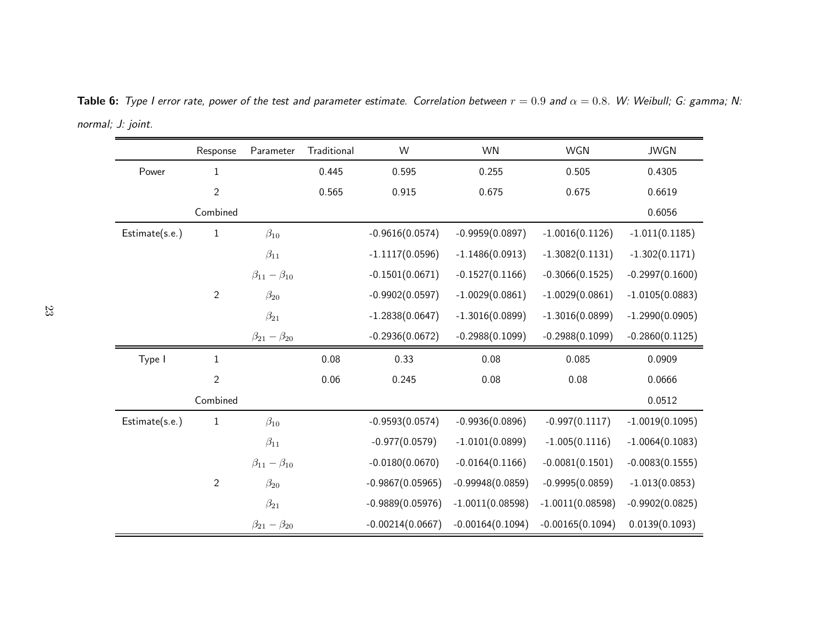|                | Response       | Parameter                 | Traditional | W                  | <b>WN</b>          | WGN                | <b>JWGN</b>       |
|----------------|----------------|---------------------------|-------------|--------------------|--------------------|--------------------|-------------------|
| Power          | $\mathbf{1}$   |                           | 0.445       | 0.595              | 0.255              | 0.505              | 0.4305            |
|                | $\sqrt{2}$     |                           | 0.565       | 0.915              | 0.675              | 0.675              | 0.6619            |
|                | Combined       |                           |             |                    |                    |                    | 0.6056            |
| Estimate(s.e.) | $\mathbf{1}$   | $\beta_{10}$              |             | $-0.9616(0.0574)$  | $-0.9959(0.0897)$  | $-1.0016(0.1126)$  | $-1.011(0.1185)$  |
|                |                | $\beta_{11}$              |             | $-1.1117(0.0596)$  | $-1.1486(0.0913)$  | $-1.3082(0.1131)$  | $-1.302(0.1171)$  |
|                |                | $\beta_{11} - \beta_{10}$ |             | $-0.1501(0.0671)$  | $-0.1527(0.1166)$  | $-0.3066(0.1525)$  | $-0.2997(0.1600)$ |
|                | $\sqrt{2}$     | $\beta_{20}$              |             | $-0.9902(0.0597)$  | $-1.0029(0.0861)$  | $-1.0029(0.0861)$  | $-1.0105(0.0883)$ |
|                |                | $\beta_{21}$              |             | $-1.2838(0.0647)$  | $-1.3016(0.0899)$  | $-1.3016(0.0899)$  | $-1.2990(0.0905)$ |
|                |                | $\beta_{21} - \beta_{20}$ |             | $-0.2936(0.0672)$  | $-0.2988(0.1099)$  | $-0.2988(0.1099)$  | $-0.2860(0.1125)$ |
| Type I         | $1\,$          |                           | 0.08        | 0.33               | 0.08               | 0.085              | 0.0909            |
|                | $\overline{2}$ |                           | 0.06        | 0.245              | 0.08               | 0.08               | 0.0666            |
|                | Combined       |                           |             |                    |                    |                    | 0.0512            |
| Estimate(s.e.) | $\mathbf{1}$   | $\beta_{10}$              |             | $-0.9593(0.0574)$  | $-0.9936(0.0896)$  | $-0.997(0.1117)$   | $-1.0019(0.1095)$ |
|                |                | $\beta_{11}$              |             | $-0.977(0.0579)$   | $-1.0101(0.0899)$  | $-1.005(0.1116)$   | $-1.0064(0.1083)$ |
|                |                | $\beta_{11} - \beta_{10}$ |             | $-0.0180(0.0670)$  | $-0.0164(0.1166)$  | $-0.0081(0.1501)$  | $-0.0083(0.1555)$ |
|                | $\overline{2}$ | $\beta_{20}$              |             | $-0.9867(0.05965)$ | $-0.99948(0.0859)$ | $-0.9995(0.0859)$  | $-1.013(0.0853)$  |
|                |                | $\beta_{21}$              |             | $-0.9889(0.05976)$ | $-1.0011(0.08598)$ | $-1.0011(0.08598)$ | $-0.9902(0.0825)$ |
|                |                | $\beta_{21} - \beta_{20}$ |             | $-0.00214(0.0667)$ | $-0.00164(0.1094)$ | $-0.00165(0.1094)$ | 0.0139(0.1093)    |

**Table 6:** Type I error rate, power of the test and parameter estimate. Correlation between  $r=0.9$  and  $\alpha=0.8$ . W: Weibull; G: gamma; N: normal; J: joint.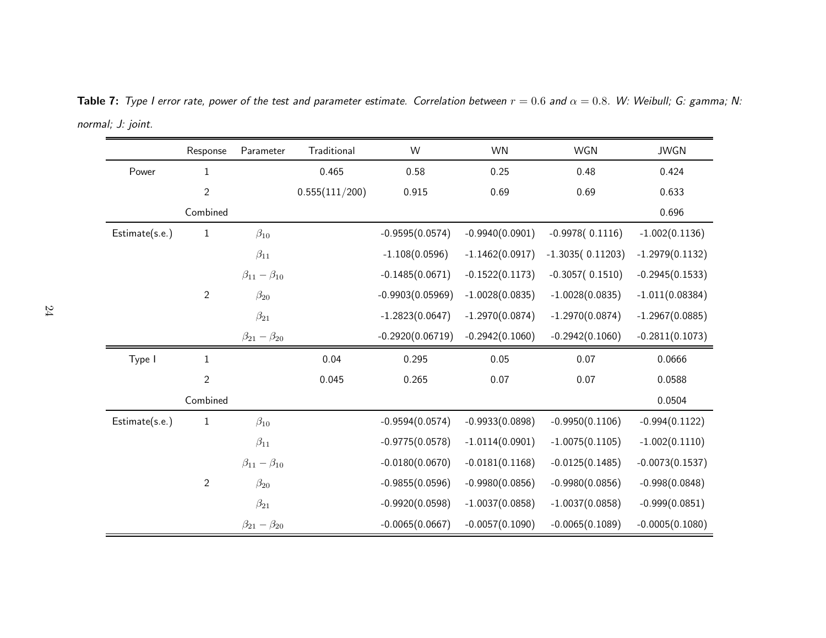|                | Response       | Parameter                 | Traditional    | W                  | <b>WN</b>         | WGN                | <b>JWGN</b>       |
|----------------|----------------|---------------------------|----------------|--------------------|-------------------|--------------------|-------------------|
| Power          | 1              |                           | 0.465          | 0.58               | 0.25              | 0.48               | 0.424             |
|                | $\overline{2}$ |                           | 0.555(111/200) | 0.915              | 0.69              | 0.69               | 0.633             |
|                | Combined       |                           |                |                    |                   |                    | 0.696             |
| Estimate(s.e.) | $\mathbf{1}$   | $\beta_{10}$              |                | $-0.9595(0.0574)$  | $-0.9940(0.0901)$ | $-0.9978(0.1116)$  | $-1.002(0.1136)$  |
|                |                | $\beta_{11}$              |                | $-1.108(0.0596)$   | $-1.1462(0.0917)$ | $-1.3035(0.11203)$ | $-1.2979(0.1132)$ |
|                |                | $\beta_{11}-\beta_{10}$   |                | $-0.1485(0.0671)$  | $-0.1522(0.1173)$ | $-0.3057(0.1510)$  | $-0.2945(0.1533)$ |
|                | $\overline{2}$ | $\beta_{20}$              |                | $-0.9903(0.05969)$ | $-1.0028(0.0835)$ | $-1.0028(0.0835)$  | $-1.011(0.08384)$ |
|                |                | $\beta_{21}$              |                | $-1.2823(0.0647)$  | $-1.2970(0.0874)$ | $-1.2970(0.0874)$  | $-1.2967(0.0885)$ |
|                |                | $\beta_{21} - \beta_{20}$ |                | $-0.2920(0.06719)$ | $-0.2942(0.1060)$ | $-0.2942(0.1060)$  | $-0.2811(0.1073)$ |
| Type I         | $\mathbf{1}$   |                           | 0.04           | 0.295              | 0.05              | 0.07               | 0.0666            |
|                | $\overline{2}$ |                           | 0.045          | 0.265              | 0.07              | 0.07               | 0.0588            |
|                | Combined       |                           |                |                    |                   |                    | 0.0504            |
| Estimate(s.e.) | $\mathbf{1}$   | $\beta_{10}$              |                | $-0.9594(0.0574)$  | $-0.9933(0.0898)$ | $-0.9950(0.1106)$  | $-0.994(0.1122)$  |
|                |                | $\beta_{11}$              |                | $-0.9775(0.0578)$  | $-1.0114(0.0901)$ | $-1.0075(0.1105)$  | $-1.002(0.1110)$  |
|                |                | $\beta_{11} - \beta_{10}$ |                | $-0.0180(0.0670)$  | $-0.0181(0.1168)$ | $-0.0125(0.1485)$  | $-0.0073(0.1537)$ |
|                | $\overline{2}$ | $\beta_{20}$              |                | $-0.9855(0.0596)$  | $-0.9980(0.0856)$ | $-0.9980(0.0856)$  | $-0.998(0.0848)$  |
|                |                | $\beta_{21}$              |                | $-0.9920(0.0598)$  | $-1.0037(0.0858)$ | $-1.0037(0.0858)$  | $-0.999(0.0851)$  |
|                |                | $\beta_{21} - \beta_{20}$ |                | $-0.0065(0.0667)$  | $-0.0057(0.1090)$ | $-0.0065(0.1089)$  | $-0.0005(0.1080)$ |

**Table 7:** Type I error rate, power of the test and parameter estimate. Correlation between  $r=0.6$  and  $\alpha=0.8$ . W: Weibull; G: gamma; N: normal; J: joint.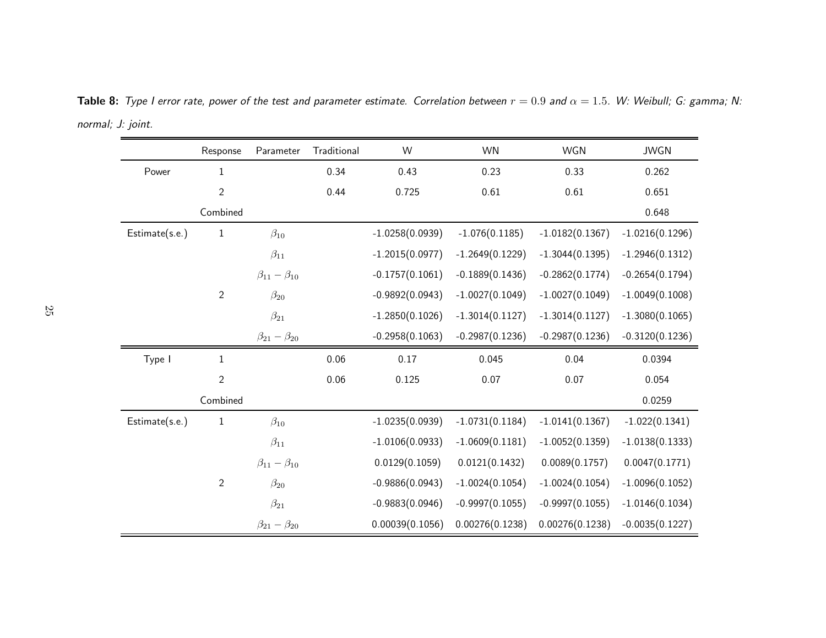|                | Response       | Parameter                 | Traditional | W                 | WN                | WGN               | <b>JWGN</b>       |
|----------------|----------------|---------------------------|-------------|-------------------|-------------------|-------------------|-------------------|
| Power          | $\mathbf{1}$   |                           | 0.34        | 0.43              | 0.23              | 0.33              | 0.262             |
|                | $\sqrt{2}$     |                           | 0.44        | 0.725             | 0.61              | 0.61              | 0.651             |
|                | Combined       |                           |             |                   |                   |                   | 0.648             |
| Estimate(s.e.) | $\mathbf{1}$   | $\beta_{10}$              |             | $-1.0258(0.0939)$ | $-1.076(0.1185)$  | $-1.0182(0.1367)$ | $-1.0216(0.1296)$ |
|                |                | $\beta_{11}$              |             | $-1.2015(0.0977)$ | $-1.2649(0.1229)$ | $-1.3044(0.1395)$ | $-1.2946(0.1312)$ |
|                |                | $\beta_{11} - \beta_{10}$ |             | $-0.1757(0.1061)$ | $-0.1889(0.1436)$ | $-0.2862(0.1774)$ | $-0.2654(0.1794)$ |
|                | $\overline{2}$ | $\beta_{20}$              |             | $-0.9892(0.0943)$ | $-1.0027(0.1049)$ | $-1.0027(0.1049)$ | $-1.0049(0.1008)$ |
|                |                | $\beta_{21}$              |             | $-1.2850(0.1026)$ | $-1.3014(0.1127)$ | $-1.3014(0.1127)$ | $-1.3080(0.1065)$ |
|                |                | $\beta_{21} - \beta_{20}$ |             | $-0.2958(0.1063)$ | $-0.2987(0.1236)$ | $-0.2987(0.1236)$ | $-0.3120(0.1236)$ |
| Type I         | $\mathbf 1$    |                           | 0.06        | 0.17              | 0.045             | 0.04              | 0.0394            |
|                | $\overline{2}$ |                           | 0.06        | 0.125             | 0.07              | 0.07              | 0.054             |
|                | Combined       |                           |             |                   |                   |                   | 0.0259            |
| Estimate(s.e.) | $\mathbf{1}$   | $\beta_{10}$              |             | $-1.0235(0.0939)$ | $-1.0731(0.1184)$ | $-1.0141(0.1367)$ | $-1.022(0.1341)$  |
|                |                | $\beta_{11}$              |             | $-1.0106(0.0933)$ | $-1.0609(0.1181)$ | $-1.0052(0.1359)$ | $-1.0138(0.1333)$ |
|                |                | $\beta_{11} - \beta_{10}$ |             | 0.0129(0.1059)    | 0.0121(0.1432)    | 0.0089(0.1757)    | 0.0047(0.1771)    |
|                | $\overline{2}$ | $\beta_{20}$              |             | $-0.9886(0.0943)$ | $-1.0024(0.1054)$ | $-1.0024(0.1054)$ | $-1.0096(0.1052)$ |
|                |                | $\beta_{21}$              |             | $-0.9883(0.0946)$ | $-0.9997(0.1055)$ | $-0.9997(0.1055)$ | $-1.0146(0.1034)$ |
|                |                | $\beta_{21} - \beta_{20}$ |             | 0.00039(0.1056)   | 0.00276(0.1238)   | 0.00276(0.1238)   | $-0.0035(0.1227)$ |

**Table 8:** Type I error rate, power of the test and parameter estimate. Correlation between  $r=0.9$  and  $\alpha=1.5$ . W: Weibull; G: gamma; N: normal; J: joint.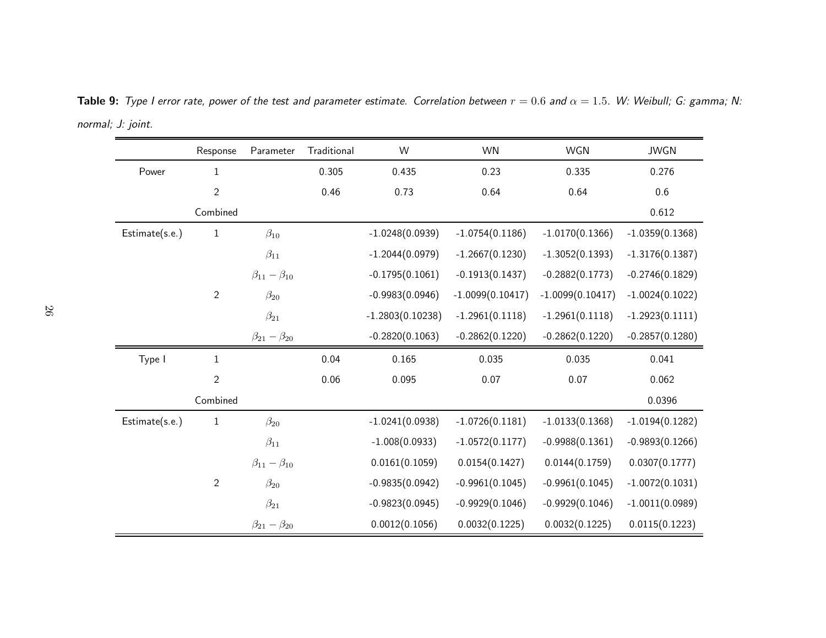|                | Response       | Parameter                 | Traditional | W                  | <b>WN</b>          | WGN                | <b>JWGN</b>       |
|----------------|----------------|---------------------------|-------------|--------------------|--------------------|--------------------|-------------------|
| Power          | $\mathbf{1}$   |                           | 0.305       | 0.435              | 0.23               | 0.335              | 0.276             |
|                | $\sqrt{2}$     |                           | 0.46        | 0.73               | 0.64               | 0.64               | 0.6               |
|                | Combined       |                           |             |                    |                    |                    | 0.612             |
| Estimate(s.e.) | $\mathbf{1}$   | $\beta_{10}$              |             | $-1.0248(0.0939)$  | $-1.0754(0.1186)$  | $-1.0170(0.1366)$  | $-1.0359(0.1368)$ |
|                |                | $\beta_{11}$              |             | $-1.2044(0.0979)$  | $-1.2667(0.1230)$  | $-1.3052(0.1393)$  | $-1.3176(0.1387)$ |
|                |                | $\beta_{11} - \beta_{10}$ |             | $-0.1795(0.1061)$  | $-0.1913(0.1437)$  | $-0.2882(0.1773)$  | $-0.2746(0.1829)$ |
|                | $\sqrt{2}$     | $\beta_{20}$              |             | $-0.9983(0.0946)$  | $-1.0099(0.10417)$ | $-1.0099(0.10417)$ | $-1.0024(0.1022)$ |
|                |                | $\beta_{21}$              |             | $-1.2803(0.10238)$ | $-1.2961(0.1118)$  | $-1.2961(0.1118)$  | $-1.2923(0.1111)$ |
|                |                | $\beta_{21} - \beta_{20}$ |             | $-0.2820(0.1063)$  | $-0.2862(0.1220)$  | $-0.2862(0.1220)$  | $-0.2857(0.1280)$ |
| Type I         | $\mathbf{1}$   |                           | 0.04        | 0.165              | 0.035              | 0.035              | 0.041             |
|                | $\overline{2}$ |                           | 0.06        | 0.095              | 0.07               | 0.07               | 0.062             |
|                | Combined       |                           |             |                    |                    |                    | 0.0396            |
| Estimate(s.e.) | $\,1\,$        | $\beta_{20}$              |             | $-1.0241(0.0938)$  | $-1.0726(0.1181)$  | $-1.0133(0.1368)$  | $-1.0194(0.1282)$ |
|                |                | $\beta_{11}$              |             | $-1.008(0.0933)$   | $-1.0572(0.1177)$  | $-0.9988(0.1361)$  | $-0.9893(0.1266)$ |
|                |                | $\beta_{11} - \beta_{10}$ |             | 0.0161(0.1059)     | 0.0154(0.1427)     | 0.0144(0.1759)     | 0.0307(0.1777)    |
|                | $\overline{2}$ | $\beta_{20}$              |             | $-0.9835(0.0942)$  | $-0.9961(0.1045)$  | $-0.9961(0.1045)$  | $-1.0072(0.1031)$ |
|                |                | $\beta_{21}$              |             | $-0.9823(0.0945)$  | $-0.9929(0.1046)$  | $-0.9929(0.1046)$  | $-1.0011(0.0989)$ |
|                |                | $\beta_{21} - \beta_{20}$ |             | 0.0012(0.1056)     | 0.0032(0.1225)     | 0.0032(0.1225)     | 0.0115(0.1223)    |

**Table 9:** Type I error rate, power of the test and parameter estimate. Correlation between  $r=0.6$  and  $\alpha=1.5$ . W: Weibull; G: gamma; N: normal; J: joint.